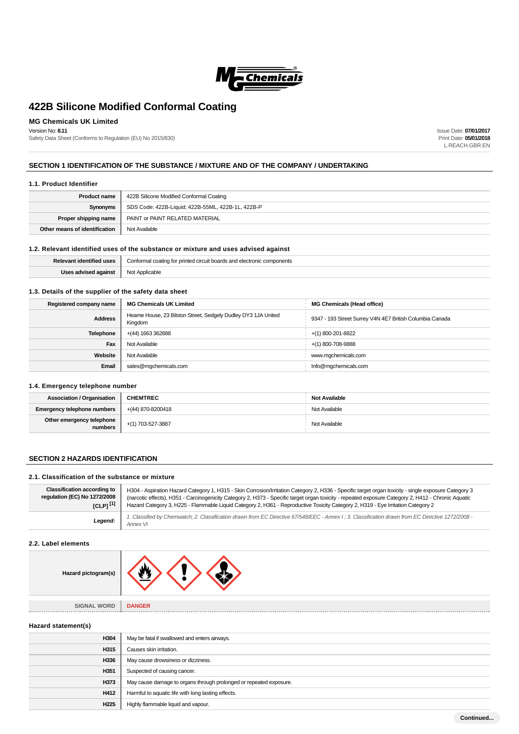

# **MG Chemicals UK Limited**

Version No: **8.11**

Safety Data Sheet (Conforms to Regulation (EU) No 2015/830)

Issue Date: **07/01/2017** Print Date: **05/01/2018** L.REACH.GBR.EN

# **SECTION 1 IDENTIFICATION OF THE SUBSTANCE / MIXTURE AND OF THE COMPANY / UNDERTAKING**

### **1.1. Product Identifier**

| <b>Product name</b>           | 422B Silicone Modified Conformal Coating          |  |  |
|-------------------------------|---------------------------------------------------|--|--|
| Synonyms                      | SDS Code: 422B-Liquid; 422B-55ML, 422B-1L, 422B-P |  |  |
| Proper shipping name          | PAINT or PAINT RELATED MATERIAL                   |  |  |
| Other means of identification | Not Available                                     |  |  |

# **1.2. Relevant identified uses of the substance or mixture and uses advised against**

| Delever<br>entified uses | Conformal coating<br>electronic components<br>: boai<br>ards and<br>circuit<br>, for printed |  |  |
|--------------------------|----------------------------------------------------------------------------------------------|--|--|
| ıaains                   | mlicable∼<br>הוח                                                                             |  |  |

# **1.3. Details of the supplier of the safety data sheet**

| Registered company name | <b>MG Chemicals UK Limited</b>                                           | <b>MG Chemicals (Head office)</b>                        |
|-------------------------|--------------------------------------------------------------------------|----------------------------------------------------------|
| <b>Address</b>          | Heame House, 23 Bilston Street, Sedgely Dudley DY3 1JA United<br>Kingdom | 9347 - 193 Street Surrey V4N 4E7 British Columbia Canada |
| <b>Telephone</b>        | +(44) 1663 362888                                                        | +(1) 800-201-8822                                        |
| Fax                     | Not Available                                                            | $+(1)$ 800-708-9888                                      |
| Website                 | Not Available                                                            | www.mgchemicals.com                                      |
| Email                   | sales@mgchemicals.com                                                    | Info@mgchemicals.com                                     |

## **1.4. Emergency telephone number**

| <b>Association / Organisation</b>    | <b>CHEMTREC</b>   | <b>Not Available</b> |
|--------------------------------------|-------------------|----------------------|
| <b>Emergency telephone numbers</b>   | +(44) 870-8200418 | Not Available        |
| Other emergency telephone<br>numbers | +(1) 703-527-3887 | Not Available        |

# **SECTION 2 HAZARDS IDENTIFICATION**

### **2.1. Classification of the substance or mixture**

| <b>Classification according to</b> | H304 - Aspiration Hazard Category 1, H315 - Skin Corrosion/Irritation Category 2, H336 - Specific target organ toxicity - single exposure Category 3          |
|------------------------------------|---------------------------------------------------------------------------------------------------------------------------------------------------------------|
| regulation (EC) No 1272/2008       | (narcotic effects), H351 - Carcinogenicity Category 2, H373 - Specific target organ toxicity - repeated exposure Category 2, H412 - Chronic Aquatic           |
| $ICLP1^{[1]}$                      | Hazard Category 3, H225 - Flammable Liquid Category 2, H361 - Reproductive Toxicity Category 2, H319 - Eye Irritation Category 2                              |
| Legend:                            | 1. Classified by Chemwatch; 2. Classification drawn from EC Directive 67/548/EEC - Annex I; 3. Classification drawn from EC Directive 1272/2008 -<br>Annex VI |

# **2.2. Label elements**

| Hazard pictogram(s)         |               |
|-----------------------------|---------------|
| <b>SIGNAL WORD</b><br>■ 質量量 | <b>DANGER</b> |

#### **Hazard statement(s)**

| H304             | May be fatal if swallowed and enters airways.                      |  |  |
|------------------|--------------------------------------------------------------------|--|--|
| H315             | Causes skin irritation.                                            |  |  |
| H336             | May cause drowsiness or dizziness.                                 |  |  |
| H351             | Suspected of causing cancer.                                       |  |  |
| H373             | May cause damage to organs through prolonged or repeated exposure. |  |  |
| H412             | Harmful to aquatic life with long lasting effects.                 |  |  |
| H <sub>225</sub> | Highly flammable liquid and vapour.                                |  |  |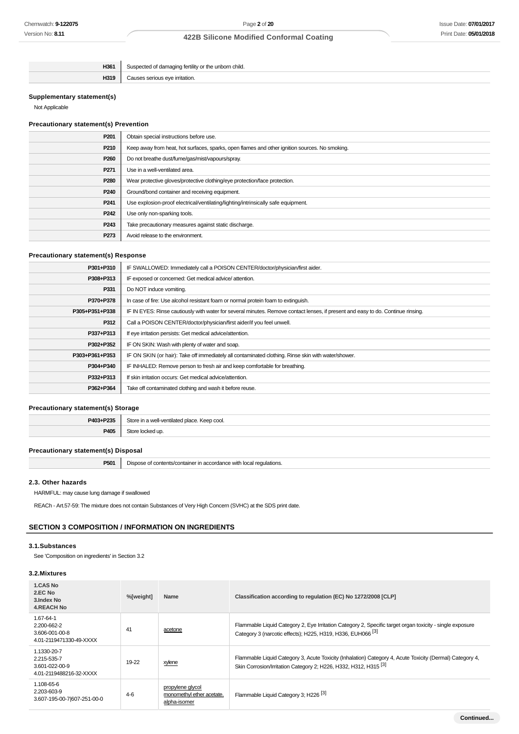| H361 | orn chila.<br><b>ADD</b><br>TNA<br>ວບະ<br>$\sim$ $\sim$ |
|------|---------------------------------------------------------|
| H319 | atior<br>` irrit.                                       |

# **Supplementary statement(s)**

Not Applicable

## **Precautionary statement(s) Prevention**

| P201             | Obtain special instructions before use.                                                        |  |  |
|------------------|------------------------------------------------------------------------------------------------|--|--|
| P210             | Keep away from heat, hot surfaces, sparks, open flames and other ignition sources. No smoking. |  |  |
| P <sub>260</sub> | Do not breathe dust/fume/gas/mist/vapours/spray.                                               |  |  |
| P <sub>271</sub> | Use in a well-ventilated area.                                                                 |  |  |
| P <sub>280</sub> | Wear protective gloves/protective clothing/eye protection/face protection.                     |  |  |
| P <sub>240</sub> | Ground/bond container and receiving equipment.                                                 |  |  |
| P <sub>241</sub> | Use explosion-proof electrical/ventilating/lighting/intrinsically safe equipment.              |  |  |
| P <sub>242</sub> | Use only non-sparking tools.                                                                   |  |  |
| P <sub>243</sub> | Take precautionary measures against static discharge.                                          |  |  |
| P273             | Avoid release to the environment.                                                              |  |  |

# **Precautionary statement(s) Response**

| P301+P310      | IF SWALLOWED: Immediately call a POISON CENTER/doctor/physician/first aider.                                                     |
|----------------|----------------------------------------------------------------------------------------------------------------------------------|
| P308+P313      | IF exposed or concerned: Get medical advice/attention.                                                                           |
| P331           | Do NOT induce vomiting.                                                                                                          |
| P370+P378      | In case of fire: Use alcohol resistant foam or normal protein foam to extinguish.                                                |
| P305+P351+P338 | IF IN EYES: Rinse cautiously with water for several minutes. Remove contact lenses, if present and easy to do. Continue rinsing. |
| P312           | Call a POISON CENTER/doctor/physician/first aider/if you feel unwell.                                                            |
| P337+P313      | If eye irritation persists: Get medical advice/attention.                                                                        |
| P302+P352      | IF ON SKIN: Wash with plenty of water and soap.                                                                                  |
| P303+P361+P353 | IF ON SKIN (or hair): Take off immediately all contaminated clothing. Rinse skin with water/shower.                              |
| P304+P340      | IF INHALED: Remove person to fresh air and keep comfortable for breathing.                                                       |
| P332+P313      | If skin irritation occurs: Get medical advice/attention.                                                                         |
| P362+P364      | Take off contaminated clothing and wash it before reuse.                                                                         |
|                |                                                                                                                                  |

# **Precautionary statement(s) Storage**

| <b>DA02.</b><br><b>DOOL</b> | .001<br>$\sim$<br><br>n —<br>е да да н<br>$  -$ |
|-----------------------------|-------------------------------------------------|
| <b>P40</b><br>ישי           |                                                 |

# **Precautionary statement(s) Disposal**

**P501** Dispose of contents/container in accordance with local regulations.

# **2.3. Other hazards**

HARMFUL: may cause lung damage if swallowed

REACh - Art.57-59: The mixture does not contain Substances of Very High Concern (SVHC) at the SDS print date.

# **SECTION 3 COMPOSITION / INFORMATION ON INGREDIENTS**

# **3.1.Substances**

See 'Composition on ingredients' in Section 3.2

# **3.2.Mixtures**

| 1.CAS No<br>2.EC No<br>3. Index No<br><b>4.REACH No</b>                         | %[weight] | Name                                                          | Classification according to regulation (EC) No 1272/2008 [CLP]                                                                                                                          |
|---------------------------------------------------------------------------------|-----------|---------------------------------------------------------------|-----------------------------------------------------------------------------------------------------------------------------------------------------------------------------------------|
| 1.67-64-1<br>2.200-662-2<br>3.606-001-00-8<br>4.01-2119471330-49-XXXX           | 41        | acetone                                                       | Flammable Liquid Category 2, Eye Irritation Category 2, Specific target organ toxicity - single exposure<br>Category 3 (narcotic effects): H225, H319, H336, EUH066 <sup>[3]</sup>      |
| 1.1330-20-7<br>2.215-535-7<br>$3.601 - 022 - 00 - 9$<br>4.01-2119488216-32-XXXX | 19-22     | xylene                                                        | Flammable Liquid Category 3, Acute Toxicity (Inhalation) Category 4, Acute Toxicity (Dermal) Category 4,<br>Skin Corrosion/Irritation Category 2; H226, H332, H312, H315 <sup>[3]</sup> |
| 1.108-65-6<br>2.203-603-9<br>3.607-195-00-7 607-251-00-0                        | $4-6$     | propylene glycol<br>monomethyl ether acetate,<br>alpha-isomer | Flammable Liquid Category 3; H226 <sup>[3]</sup>                                                                                                                                        |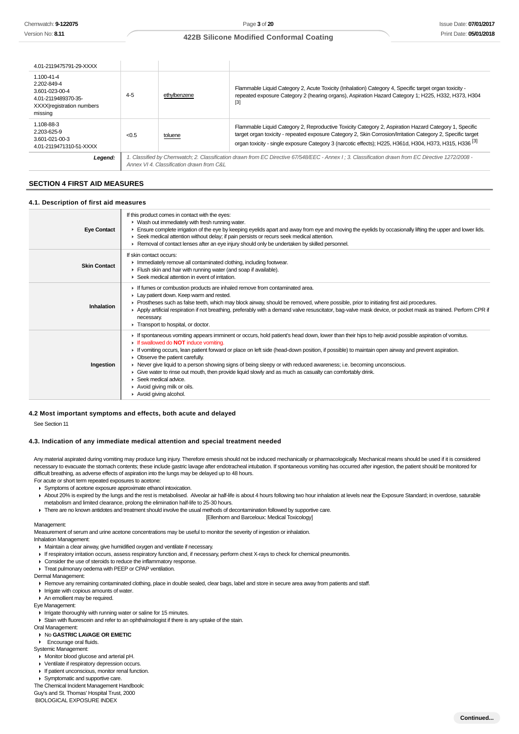# **422B Silicone Modified Conformal Coating**

| 4.01-2119475791-29-XXXX                                                                                    |         |                                           |                                                                                                                                                                                                                                                                                                                                            |
|------------------------------------------------------------------------------------------------------------|---------|-------------------------------------------|--------------------------------------------------------------------------------------------------------------------------------------------------------------------------------------------------------------------------------------------------------------------------------------------------------------------------------------------|
| 1.100-41-4<br>2.202-849-4<br>3.601-023-00-4<br>4.01-2119489370-35-<br>XXXX registration numbers<br>missing | $4 - 5$ | ethylbenzene                              | Flammable Liquid Category 2, Acute Toxicity (Inhalation) Category 4, Specific target organ toxicity -<br>repeated exposure Category 2 (hearing organs), Aspiration Hazard Category 1; H225, H332, H373, H304<br>$[3]$                                                                                                                      |
| 1.108-88-3<br>2.203-625-9<br>3.601-021-00-3<br>4.01-2119471310-51-XXXX                                     | < 0.5   | toluene                                   | Flammable Liquid Category 2, Reproductive Toxicity Category 2, Aspiration Hazard Category 1, Specific<br>target organ toxicity - repeated exposure Category 2, Skin Corrosion/Irritation Category 2, Specific target<br>organ toxicity - single exposure Category 3 (narcotic effects); H225, H361d, H304, H373, H315, H336 <sup>[3]</sup> |
| Legend:                                                                                                    |         | Annex VI 4. Classification drawn from C&L | 1. Classified by Chemwatch: 2. Classification drawn from EC Directive 67/548/EEC - Annex I : 3. Classification drawn from EC Directive 1272/2008 -                                                                                                                                                                                         |

# **SECTION 4 FIRST AID MEASURES**

#### **4.1. Description of first aid measures**

| <b>Eye Contact</b>  | If this product comes in contact with the eyes:<br>• Wash out immediately with fresh running water.<br>Ensure complete irrigation of the eye by keeping eyelids apart and away from eye and moving the eyelids by occasionally lifting the upper and lower lids.<br>► Seek medical attention without delay; if pain persists or recurs seek medical attention.<br>► Removal of contact lenses after an eye injury should only be undertaken by skilled personnel.                                                                                                                                                                                                                                                                |
|---------------------|----------------------------------------------------------------------------------------------------------------------------------------------------------------------------------------------------------------------------------------------------------------------------------------------------------------------------------------------------------------------------------------------------------------------------------------------------------------------------------------------------------------------------------------------------------------------------------------------------------------------------------------------------------------------------------------------------------------------------------|
| <b>Skin Contact</b> | If skin contact occurs:<br>Inmediately remove all contaminated clothing, including footwear.<br>Flush skin and hair with running water (and soap if available).<br>▶ Seek medical attention in event of irritation.                                                                                                                                                                                                                                                                                                                                                                                                                                                                                                              |
| Inhalation          | If fumes or combustion products are inhaled remove from contaminated area.<br>Lay patient down. Keep warm and rested.<br>► Prostheses such as false teeth, which may block airway, should be removed, where possible, prior to initiating first aid procedures.<br>▶ Apply artificial respiration if not breathing, preferably with a demand valve resuscitator, bag-valve mask device, or pocket mask as trained. Perform CPR if<br>necessary.<br>Transport to hospital, or doctor.                                                                                                                                                                                                                                             |
| Ingestion           | If spontaneous vomiting appears imminent or occurs, hold patient's head down, lower than their hips to help avoid possible aspiration of vomitus.<br>If swallowed do <b>NOT</b> induce vomiting.<br>If vomiting occurs, lean patient forward or place on left side (head-down position, if possible) to maintain open airway and prevent aspiration.<br>• Observe the patient carefully.<br>► Never give liquid to a person showing signs of being sleepy or with reduced awareness; i.e. becoming unconscious.<br>Give water to rinse out mouth, then provide liquid slowly and as much as casualty can comfortably drink.<br>$\blacktriangleright$ Seek medical advice.<br>Avoid giving milk or oils.<br>Avoid giving alcohol. |

#### **4.2 Most important symptoms and effects, both acute and delayed**

See Section 11

#### **4.3. Indication of any immediate medical attention and special treatment needed**

Any material aspirated during vomiting may produce lung injury. Therefore emesis should not be induced mechanically or pharmacologically. Mechanical means should be used if it is considered necessary to evacuate the stomach contents; these include gastric lavage after endotracheal intubation. If spontaneous vomiting has occurred after ingestion, the patient should be monitored for difficult breathing, as adverse effects of aspiration into the lungs may be delayed up to 48 hours.

- For acute or short term repeated exposures to acetone:
- Symptoms of acetone exposure approximate ethanol intoxication.
- About 20% is expired by the lungs and the rest is metabolised. Alveolar air half-life is about 4 hours following two hour inhalation at levels near the Exposure Standard; in overdose, saturable metabolism and limited clearance, prolong the elimination half-life to 25-30 hours.
- There are no known antidotes and treatment should involve the usual methods of decontamination followed by supportive care. [Ellenhorn and Barceloux: Medical Toxicology]

#### Management:

Measurement of serum and urine acetone concentrations may be useful to monitor the severity of ingestion or inhalation. Inhalation Management:

- Maintain a clear airway, give humidified oxygen and ventilate if necessary.
- If respiratory irritation occurs, assess respiratory function and, if necessary, perform chest X-rays to check for chemical pneumonitis.
- Consider the use of steroids to reduce the inflammatory response.
- Treat pulmonary oedema with PEEP or CPAP ventilation.

Dermal Management:

- Remove any remaining contaminated clothing, place in double sealed, clear bags, label and store in secure area away from patients and staff.
- Irrigate with copious amounts of water.
- An emollient may be required.

Eye Management:

- If Irrigate thoroughly with running water or saline for 15 minutes.
- Stain with fluorescein and refer to an ophthalmologist if there is any uptake of the stain.
- Oral Management:

# **No GASTRIC LAVAGE OR EMETIC**

**Encourage oral fluids** 

- Systemic Management:
- Monitor blood glucose and arterial pH.
- Ventilate if respiratory depression occurs.
- If patient unconscious, monitor renal function.
- Symptomatic and supportive care.

The Chemical Incident Management Handbook: Guy's and St. Thomas' Hospital Trust, 2000

BIOLOGICAL EXPOSURE INDEX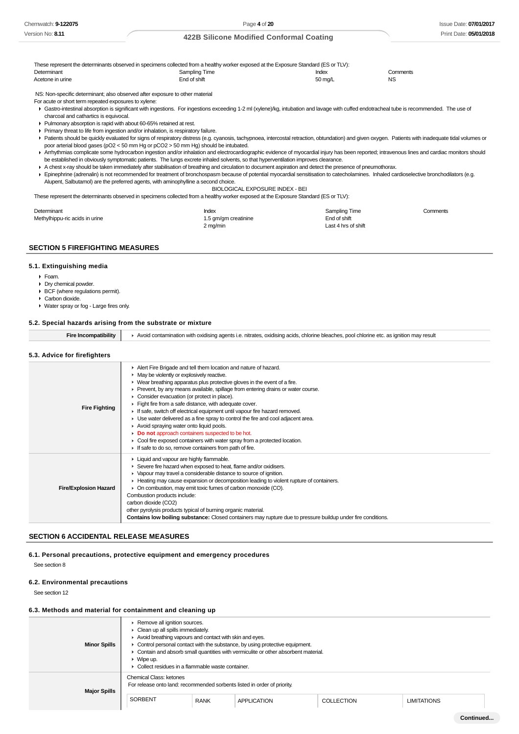These represent the determinants observed in specimens collected from a healthy worker exposed at the Exposure Standard (ES or TLV):<br>Determinant lodex Determinant Comments Comments Comments Sampling Time **Index** Comments Comments Comments Acetone in urine The Communication of the End of shift School and The School School and The School and The NS NS: Non-specific determinant; also observed after exposure to other material

For acute or short term repeated exposures to xylene:

Gastro-intestinal absorption is significant with ingestions. For ingestions exceeding 1-2 ml (xylene)/kg, intubation and lavage with cuffed endotracheal tube is recommended. The use of charcoal and cathartics is equivocal.

- Pulmonary absorption is rapid with about 60-65% retained at rest.
- Primary threat to life from ingestion and/or inhalation, is respiratory failure.
- Patients should be quickly evaluated for signs of respiratory distress (e.g. cyanosis, tachypnoea, intercostal retraction, obtundation) and given oxygen. Patients with inadequate tidal volumes or poor arterial blood gases (pO2 < 50 mm Hg or pCO2 > 50 mm Hg) should be intubated.
- ▶ Arrhythmias complicate some hydrocarbon ingestion and/or inhalation and electrocardiographic evidence of myocardial injury has been reported; intravenous lines and cardiac monitors should be established in obviously symptomatic patients. The lungs excrete inhaled solvents, so that hyperventilation improves clearance.

A chest x-ray should be taken immediately after stabilisation of breathing and circulation to document aspiration and detect the presence of pneumothorax.

Epinephrine (adrenalin) is not recommended for treatment of bronchospasm because of potential myocardial sensitisation to catecholamines. Inhaled cardioselective bronchodilators (e.g. Alupent, Salbutamol) are the preferred agents, with aminophylline a second choice.

BIOLOGICAL EXPOSURE INDEX - BEI

These represent the determinants observed in specimens collected from a healthy worker exposed at the Exposure Standard (ES or TLV):

| Determinant                    | Index                | Sampling Time       | Comments |
|--------------------------------|----------------------|---------------------|----------|
| Methylhippu-ric acids in urine | 1.5 gm/gm creatinine | End of shift        |          |
|                                | 2 mg/min             | Last 4 hrs of shift |          |

### **SECTION 5 FIREFIGHTING MEASURES**

#### **5.1. Extinguishing media**

- Foam.
- Dry chemical powder.
- ▶ BCF (where regulations permit).
- Carbon dioxide.
- Water spray or fog Large fires only.

#### **5.2. Special hazards arising from the substrate or mixture**

| a Incompatibility | ► Avoid contamination with oxidising agents i.e. nitrates, oxidising acids, chlorine bleaches, pool chlorine etc. as ignition may result |
|-------------------|------------------------------------------------------------------------------------------------------------------------------------------|
|-------------------|------------------------------------------------------------------------------------------------------------------------------------------|

# **5.3. Advice for firefighters**

| <b>Fire Fighting</b>         | Alert Fire Brigade and tell them location and nature of hazard.<br>• May be violently or explosively reactive.<br>• Wear breathing apparatus plus protective gloves in the event of a fire.<br>► Prevent, by any means available, spillage from entering drains or water course.<br>• Consider evacuation (or protect in place).<br>Fight fire from a safe distance, with adequate cover.<br>If safe, switch off electrical equipment until vapour fire hazard removed.<br>► Use water delivered as a fine spray to control the fire and cool adjacent area.<br>Avoid spraying water onto liquid pools.<br>Do not approach containers suspected to be hot.<br>• Cool fire exposed containers with water spray from a protected location.<br>If safe to do so, remove containers from path of fire. |
|------------------------------|----------------------------------------------------------------------------------------------------------------------------------------------------------------------------------------------------------------------------------------------------------------------------------------------------------------------------------------------------------------------------------------------------------------------------------------------------------------------------------------------------------------------------------------------------------------------------------------------------------------------------------------------------------------------------------------------------------------------------------------------------------------------------------------------------|
| <b>Fire/Explosion Hazard</b> | ▶ Liquid and vapour are highly flammable.<br>Severe fire hazard when exposed to heat, flame and/or oxidisers.<br>▶ Vapour may travel a considerable distance to source of ignition.<br>► Heating may cause expansion or decomposition leading to violent rupture of containers.<br>• On combustion, may emit toxic fumes of carbon monoxide (CO).<br>Combustion products include:<br>carbon dioxide (CO2)<br>other pyrolysis products typical of burning organic material.<br><b>Contains low boiling substance:</b> Closed containers may rupture due to pressure buildup under fire conditions.                                                                                                                                                                                                  |

#### **SECTION 6 ACCIDENTAL RELEASE MEASURES**

#### **6.1. Personal precautions, protective equipment and emergency procedures**

See section 8

#### **6.2. Environmental precautions**

See section 12

#### **6.3. Methods and material for containment and cleaning up**

| <b>Minor Spills</b> | ▶ Remove all ignition sources.<br>• Clean up all spills immediately.<br>Avoid breathing vapours and contact with skin and eyes.<br>• Control personal contact with the substance, by using protective equipment.<br>• Contain and absorb small quantities with vermiculite or other absorbent material.<br>$\triangleright$ Wipe up.<br>• Collect residues in a flammable waste container. |             |             |                   |                    |
|---------------------|--------------------------------------------------------------------------------------------------------------------------------------------------------------------------------------------------------------------------------------------------------------------------------------------------------------------------------------------------------------------------------------------|-------------|-------------|-------------------|--------------------|
| <b>Major Spills</b> | <b>Chemical Class: ketones</b><br>For release onto land: recommended sorbents listed in order of priority.                                                                                                                                                                                                                                                                                 |             |             |                   |                    |
|                     | SORBENT                                                                                                                                                                                                                                                                                                                                                                                    | <b>RANK</b> | APPLICATION | <b>COLLECTION</b> | <b>LIMITATIONS</b> |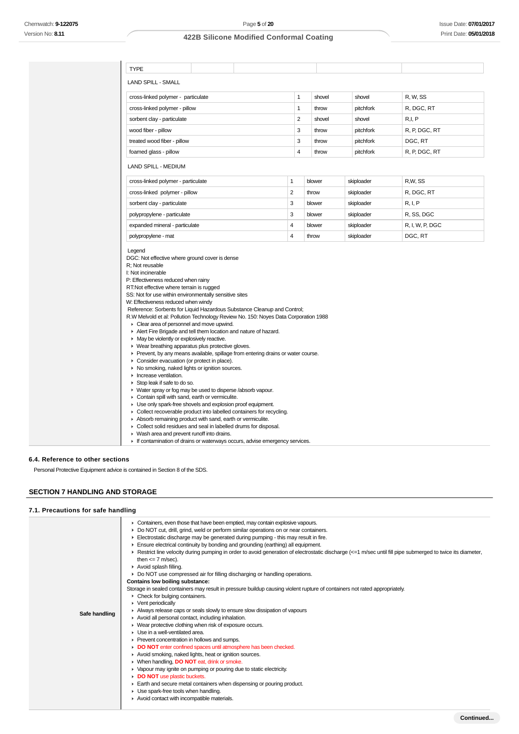| 1                                                                     | shovel           | shovel                                                                                                                                                                                                                                                                                     | R, W, SS                                                                        |
|-----------------------------------------------------------------------|------------------|--------------------------------------------------------------------------------------------------------------------------------------------------------------------------------------------------------------------------------------------------------------------------------------------|---------------------------------------------------------------------------------|
| 1                                                                     | throw            | pitchfork                                                                                                                                                                                                                                                                                  | R, DGC, RT                                                                      |
| $\overline{2}$                                                        | shovel           | shovel                                                                                                                                                                                                                                                                                     | R, I, P                                                                         |
| 3                                                                     | throw            | pitchfork                                                                                                                                                                                                                                                                                  | R, P, DGC, RT                                                                   |
| 3                                                                     | throw            | pitchfork                                                                                                                                                                                                                                                                                  | DGC, RT                                                                         |
| 4                                                                     | throw            |                                                                                                                                                                                                                                                                                            | R, P, DGC, RT                                                                   |
|                                                                       |                  |                                                                                                                                                                                                                                                                                            |                                                                                 |
| 1                                                                     | blower           | skiploader                                                                                                                                                                                                                                                                                 | R.W. SS                                                                         |
| $\overline{2}$                                                        | throw            |                                                                                                                                                                                                                                                                                            | R, DGC, RT                                                                      |
|                                                                       |                  |                                                                                                                                                                                                                                                                                            | R, I, P                                                                         |
|                                                                       |                  |                                                                                                                                                                                                                                                                                            | R, SS, DGC                                                                      |
|                                                                       |                  |                                                                                                                                                                                                                                                                                            | R, I, W, P, DGC                                                                 |
|                                                                       |                  |                                                                                                                                                                                                                                                                                            | DGC, RT                                                                         |
|                                                                       |                  |                                                                                                                                                                                                                                                                                            |                                                                                 |
|                                                                       |                  |                                                                                                                                                                                                                                                                                            |                                                                                 |
| • Collect recoverable product into labelled containers for recycling. |                  |                                                                                                                                                                                                                                                                                            |                                                                                 |
|                                                                       | 3<br>3<br>4<br>4 | blower<br>blower<br>blower<br>throw<br>Reference: Sorbents for Liquid Hazardous Substance Cleanup and Control;<br>R.W Melvold et al: Pollution Technology Review No. 150: Noyes Data Corporation 1988<br>▶ Prevent, by any means available, spillage from entering drains or water course. | pitchfork<br>skiploader<br>skiploader<br>skiploader<br>skiploader<br>skiploader |

- Wash area and prevent runoff into drains.
	- If contamination of drains or waterways occurs, advise emergency services.

**6.4. Reference to other sections**

Personal Protective Equipment advice is contained in Section 8 of the SDS.

# **SECTION 7 HANDLING AND STORAGE**

# **7.1. Precautions for safe handling**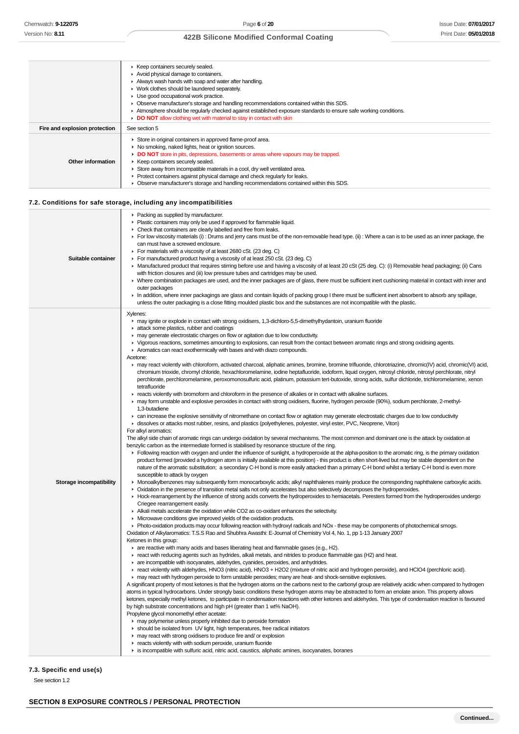# **422B Silicone Modified Conformal Coating**

|                               | ▶ Keep containers securely sealed.                                                                               |  |  |  |  |
|-------------------------------|------------------------------------------------------------------------------------------------------------------|--|--|--|--|
|                               | Avoid physical damage to containers.                                                                             |  |  |  |  |
|                               | Always wash hands with soap and water after handling.                                                            |  |  |  |  |
|                               | • Work clothes should be laundered separately.                                                                   |  |  |  |  |
|                               | • Use good occupational work practice.                                                                           |  |  |  |  |
|                               | • Observe manufacturer's storage and handling recommendations contained within this SDS.                         |  |  |  |  |
|                               | Atmosphere should be regularly checked against established exposure standards to ensure safe working conditions. |  |  |  |  |
|                               | DO NOT allow clothing wet with material to stay in contact with skin                                             |  |  |  |  |
| Fire and explosion protection | See section 5                                                                                                    |  |  |  |  |
|                               | Store in original containers in approved flame-proof area.                                                       |  |  |  |  |
|                               | • No smoking, naked lights, heat or ignition sources.                                                            |  |  |  |  |
|                               | • DO NOT store in pits, depressions, basements or areas where vapours may be trapped.                            |  |  |  |  |
| Other information             | ▶ Keep containers securely sealed.                                                                               |  |  |  |  |
|                               |                                                                                                                  |  |  |  |  |
|                               | Store away from incompatible materials in a cool, dry well ventilated area.                                      |  |  |  |  |
|                               | • Protect containers against physical damage and check regularly for leaks.                                      |  |  |  |  |

# **7.2. Conditions for safe storage, including any incompatibilities**

| Suitable container      | • Packing as supplied by manufacturer.<br>Plastic containers may only be used if approved for flammable liquid.<br>• Check that containers are clearly labelled and free from leaks.<br>For low viscosity materials (i): Drums and jerry cans must be of the non-removable head type. (ii): Where a can is to be used as an inner package, the<br>can must have a screwed enclosure.<br>For materials with a viscosity of at least 2680 cSt. (23 deg. C)<br>For manufactured product having a viscosity of at least 250 cSt. (23 deg. C)<br>▶ Manufactured product that requires stirring before use and having a viscosity of at least 20 cSt (25 deg. C): (i) Removable head packaging; (ii) Cans<br>with friction closures and (iii) low pressure tubes and cartridges may be used.<br>▶ Where combination packages are used, and the inner packages are of glass, there must be sufficient inert cushioning material in contact with inner and<br>outer packages<br>In addition, where inner packagings are glass and contain liguids of packing group I there must be sufficient inert absorbent to absorb any spillage,<br>unless the outer packaging is a close fitting moulded plastic box and the substances are not incompatible with the plastic.                                                                                                                                                                                                                                                                                                                                                                                                                                                                                                                                                                                                                                                                                                                                                                                                                                                                                                                                                                                                                                                                                                                                                                                                                                                                                                                                                                                                                                                                                                                                                                                                                                                                                                                                                                                                                                                                                                                                                                                                                                                                                                                                                                                                                                                                                                                                                                                                                                                                                                                                                                                                                                                                                                                                                                                                                                                                                                                                                                                                                                                                                                                                                                                                                                                                                                                                                                                                                                                                                                                                                                                                                                                                                                  |
|-------------------------|---------------------------------------------------------------------------------------------------------------------------------------------------------------------------------------------------------------------------------------------------------------------------------------------------------------------------------------------------------------------------------------------------------------------------------------------------------------------------------------------------------------------------------------------------------------------------------------------------------------------------------------------------------------------------------------------------------------------------------------------------------------------------------------------------------------------------------------------------------------------------------------------------------------------------------------------------------------------------------------------------------------------------------------------------------------------------------------------------------------------------------------------------------------------------------------------------------------------------------------------------------------------------------------------------------------------------------------------------------------------------------------------------------------------------------------------------------------------------------------------------------------------------------------------------------------------------------------------------------------------------------------------------------------------------------------------------------------------------------------------------------------------------------------------------------------------------------------------------------------------------------------------------------------------------------------------------------------------------------------------------------------------------------------------------------------------------------------------------------------------------------------------------------------------------------------------------------------------------------------------------------------------------------------------------------------------------------------------------------------------------------------------------------------------------------------------------------------------------------------------------------------------------------------------------------------------------------------------------------------------------------------------------------------------------------------------------------------------------------------------------------------------------------------------------------------------------------------------------------------------------------------------------------------------------------------------------------------------------------------------------------------------------------------------------------------------------------------------------------------------------------------------------------------------------------------------------------------------------------------------------------------------------------------------------------------------------------------------------------------------------------------------------------------------------------------------------------------------------------------------------------------------------------------------------------------------------------------------------------------------------------------------------------------------------------------------------------------------------------------------------------------------------------------------------------------------------------------------------------------------------------------------------------------------------------------------------------------------------------------------------------------------------------------------------------------------------------------------------------------------------------------------------------------------------------------------------------------------------------------------------------------------------------------------------------------------------------------------------------------------------------------------------------------------------------------------------------------------------------------------------------------------------------------------------------------------------------------------------------------------------------------------------------------------------------------------------------------------------------------------------------------------------------------------------------------------------------------------------------------------------------------------------------------------------------------------------------------|
| Storage incompatibility | Xylenes:<br>may ignite or explode in contact with strong oxidisers, 1,3-dichloro-5,5-dimethylhydantoin, uranium fluoride<br>attack some plastics, rubber and coatings<br>• may generate electrostatic charges on flow or agitation due to low conductivity.<br>► Vigorous reactions, sometimes amounting to explosions, can result from the contact between aromatic rings and strong oxidising agents.<br>Aromatics can react exothermically with bases and with diazo compounds.<br>Acetone:<br>► may react violently with chloroform, activated charcoal, aliphatic amines, bromine, bromine trifluoride, chlorotriazine, chromic(IV) acid, chromic(VI) acid,<br>chromium trioxide, chromyl chloride, hexachloromelamine, iodine heptafluoride, iodoform, liquid oxygen, nitrosyl chloride, nitrosyl perchlorate, nitryl<br>perchlorate, perchloromelamine, peroxomonosulfuric acid, platinum, potassium tert-butoxide, strong acids, sulfur dichloride, trichloromelamine, xenon<br>tetrafluoride<br>F reacts violently with bromoform and chloroform in the presence of alkalies or in contact with alkaline surfaces.<br>• may form unstable and explosive peroxides in contact with strong oxidisers, fluorine, hydrogen peroxide (90%), sodium perchlorate, 2-methyl-<br>1.3-butadiene<br>► can increase the explosive sensitivity of nitromethane on contact flow or agitation may generate electrostatic charges due to low conductivity<br>dissolves or attacks most rubber, resins, and plastics (polyethylenes, polyester, vinyl ester, PVC, Neoprene, Viton)<br>For alkyl aromatics:<br>The alkyl side chain of aromatic rings can undergo oxidation by several mechanisms. The most common and dominant one is the attack by oxidation at<br>benzylic carbon as the intermediate formed is stabilised by resonance structure of the ring.<br>Following reaction with oxygen and under the influence of sunlight, a hydroperoxide at the alpha-position to the aromatic ring, is the primary oxidation<br>product formed (provided a hydrogen atom is initially available at this position) - this product is often short-lived but may be stable dependent on the<br>nature of the aromatic substitution; a secondary C-H bond is more easily attacked than a primary C-H bond whilst a tertiary C-H bond is even more<br>susceptible to attack by oxygen<br>▶ Monoalkylbenzenes may subsequently form monocarboxylic acids; alkyl naphthalenes mainly produce the corresponding naphthalene carboxylic acids.<br>• Oxidation in the presence of transition metal salts not only accelerates but also selectively decomposes the hydroperoxides.<br>▶ Hock-rearrangement by the influence of strong acids converts the hydroperoxides to hemiacetals. Peresters formed from the hydroperoxides undergo<br>Criegee rearrangement easily.<br>Alkali metals accelerate the oxidation while CO2 as co-oxidant enhances the selectivity.<br>• Microwave conditions give improved yields of the oxidation products.<br>• Photo-oxidation products may occur following reaction with hydroxyl radicals and NOx - these may be components of photochemical smogs.<br>Oxidation of Alkylaromatics: T.S.S Rao and Shubhra Awasthi: E-Journal of Chemistry Vol 4, No. 1, pp 1-13 January 2007<br>Ketones in this group:<br>$\blacktriangleright$ are reactive with many acids and bases liberating heat and flammable gases (e.g., H2).<br>F react with reducing agents such as hydrides, alkali metals, and nitrides to produce flammable gas (H2) and heat.<br>are incompatible with isocyanates, aldehydes, cyanides, peroxides, and anhydrides.<br>F react violently with aldehydes, HNO3 (nitric acid), HNO3 + H2O2 (mixture of nitric acid and hydrogen peroxide), and HClO4 (perchloric acid).<br>may react with hydrogen peroxide to form unstable peroxides; many are heat- and shock-sensitive explosives.<br>A significant property of most ketones is that the hydrogen atoms on the carbons next to the carbonyl group are relatively acidic when compared to hydrogen<br>atoms in typical hydrocarbons. Under strongly basic conditions these hydrogen atoms may be abstracted to form an enolate anion. This property allows<br>ketones, especially methyl ketones, to participate in condensation reactions with other ketones and aldehydes. This type of condensation reaction is favoured<br>by high substrate concentrations and high pH (greater than 1 wt% NaOH).<br>Propylene glycol monomethyl ether acetate:<br>may polymerise unless properly inhibited due to peroxide formation<br>in should be isolated from UV light, high temperatures, free radical initiators<br>may react with strong oxidisers to produce fire and/ or explosion<br>reacts violently with with sodium peroxide, uranium fluoride<br>ightharpoonright is incompatible with sulfuric acid, nitric acid, caustics, aliphatic amines, isocyanates, boranes |

# **7.3. Specific end use(s)**

See section 1.2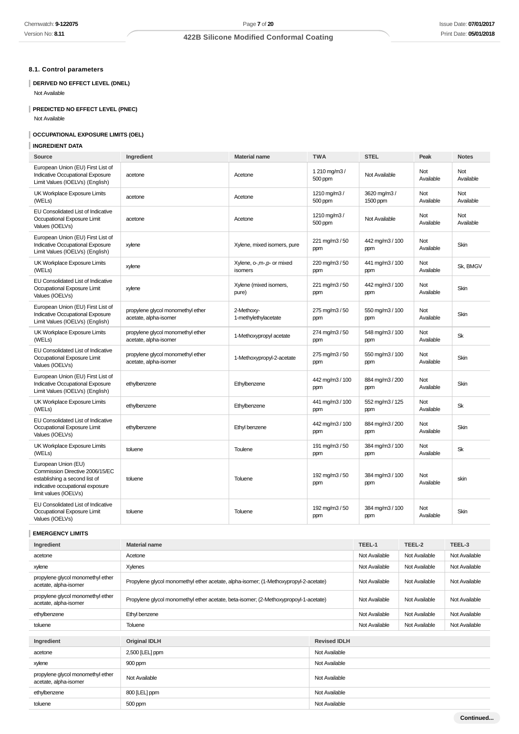# **8.1. Control parameters**

# **DERIVED NO EFFECT LEVEL (DNEL)**

Not Available

# **PREDICTED NO EFFECT LEVEL (PNEC)**

Not Available

# **OCCUPATIONAL EXPOSURE LIMITS (OEL)**

# **INGREDIENT DATA**

| Source                                                                                                                                               | Ingredient                                                 | <b>Material name</b>                 | <b>TWA</b>              | <b>STEL</b>              | Peak                    | <b>Notes</b>     |
|------------------------------------------------------------------------------------------------------------------------------------------------------|------------------------------------------------------------|--------------------------------------|-------------------------|--------------------------|-------------------------|------------------|
| European Union (EU) First List of<br>Indicative Occupational Exposure<br>Limit Values (IOELVs) (English)                                             | acetone                                                    | Acetone                              | 1 210 mg/m3/<br>500 ppm | Not Available            | Not<br>Available        | Not<br>Available |
| UK Workplace Exposure Limits<br>(WELs)                                                                                                               | acetone                                                    | Acetone                              | 1210 mg/m3/<br>500 ppm  | 3620 mg/m3 /<br>1500 ppm | Not<br>Available        | Not<br>Available |
| EU Consolidated List of Indicative<br>Occupational Exposure Limit<br>Values (IOELVs)                                                                 | acetone                                                    | Acetone                              | 1210 mg/m3/<br>500 ppm  | Not Available            | Not<br>Available        | Not<br>Available |
| European Union (EU) First List of<br>Indicative Occupational Exposure<br>Limit Values (IOELVs) (English)                                             | xylene                                                     | Xylene, mixed isomers, pure          | 221 mg/m3 / 50<br>ppm   | 442 mg/m3 / 100<br>ppm   | Not<br>Available        | Skin             |
| UK Workplace Exposure Limits<br>(WELs)                                                                                                               | xylene                                                     | Xylene, o-,m-,p- or mixed<br>isomers | 220 mg/m3 / 50<br>ppm   | 441 mg/m3 / 100<br>ppm   | <b>Not</b><br>Available | Sk, BMGV         |
| EU Consolidated List of Indicative<br>Occupational Exposure Limit<br>Values (IOELVs)                                                                 | xylene                                                     | Xylene (mixed isomers,<br>pure)      | 221 mg/m3 / 50<br>ppm   | 442 mg/m3 / 100<br>ppm   | Not<br>Available        | Skin             |
| European Union (EU) First List of<br>Indicative Occupational Exposure<br>Limit Values (IOELVs) (English)                                             | propylene glycol monomethyl ether<br>acetate, alpha-isomer | 2-Methoxy-<br>1-methylethylacetate   | 275 mg/m3 / 50<br>ppm   | 550 mg/m3 / 100<br>ppm   | Not<br>Available        | Skin             |
| UK Workplace Exposure Limits<br>(WELs)                                                                                                               | propylene glycol monomethyl ether<br>acetate, alpha-isomer | 1-Methoxypropyl acetate              | 274 mg/m3 / 50<br>ppm   | 548 mg/m3 / 100<br>ppm   | Not<br>Available        | Sk               |
| EU Consolidated List of Indicative<br>Occupational Exposure Limit<br>Values (IOELVs)                                                                 | propylene glycol monomethyl ether<br>acetate, alpha-isomer | 1-Methoxypropyl-2-acetate            | 275 mg/m3 / 50<br>ppm   | 550 mg/m3 / 100<br>ppm   | Not<br>Available        | Skin             |
| European Union (EU) First List of<br>Indicative Occupational Exposure<br>Limit Values (IOELVs) (English)                                             | ethylbenzene                                               | Ethylbenzene                         | 442 mg/m3 / 100<br>ppm  | 884 mg/m3 / 200<br>ppm   | Not<br>Available        | Skin             |
| UK Workplace Exposure Limits<br>(WELs)                                                                                                               | ethylbenzene                                               | Ethylbenzene                         | 441 mg/m3 / 100<br>ppm  | 552 mg/m3 / 125<br>ppm   | Not<br>Available        | Sk               |
| EU Consolidated List of Indicative<br>Occupational Exposure Limit<br>Values (IOELVs)                                                                 | ethylbenzene                                               | Ethyl benzene                        | 442 mg/m3 / 100<br>ppm  | 884 mg/m3 / 200<br>ppm   | Not<br>Available        | Skin             |
| UK Workplace Exposure Limits<br>(WELs)                                                                                                               | toluene                                                    | Toulene                              | 191 mg/m3 / 50<br>ppm   | 384 mg/m3 / 100<br>ppm   | Not<br>Available        | Sk               |
| European Union (EU)<br>Commission Directive 2006/15/EC<br>establishing a second list of<br>indicative occupational exposure<br>limit values (IOELVs) | toluene                                                    | Toluene                              | 192 mg/m3 / 50<br>ppm   | 384 mg/m3 / 100<br>ppm   | Not<br>Available        | skin             |
| EU Consolidated List of Indicative<br>Occupational Exposure Limit<br>Values (IOELVs)                                                                 | toluene                                                    | Toluene                              | 192 mg/m3 / 50<br>ppm   | 384 mg/m3 / 100<br>ppm   | Not<br>Available        | Skin             |

# **EMERGENCY LIMITS**

| Ingredient                                                 | <b>Material name</b>                                                                 |               | TEEL-1        | TEEL-2        | TEEL-3        |
|------------------------------------------------------------|--------------------------------------------------------------------------------------|---------------|---------------|---------------|---------------|
| acetone                                                    | Acetone                                                                              |               | Not Available | Not Available | Not Available |
| xylene                                                     | Xylenes                                                                              |               | Not Available | Not Available | Not Available |
| propylene glycol monomethyl ether<br>acetate, alpha-isomer | Propylene glycol monomethyl ether acetate, alpha-isomer; (1-Methoxypropyl-2-acetate) | Not Available | Not Available | Not Available |               |
| propylene glycol monomethyl ether<br>acetate, alpha-isomer | Propylene glycol monomethyl ether acetate, beta-isomer; (2-Methoxypropoyl-1-acetate) | Not Available | Not Available | Not Available |               |
| ethylbenzene                                               | Ethyl benzene                                                                        | Not Available | Not Available | Not Available |               |
| toluene                                                    | Toluene                                                                              |               | Not Available | Not Available | Not Available |
| <b>Original IDLH</b><br><b>Revised IDLH</b><br>Ingredient  |                                                                                      |               |               |               |               |
| acetone                                                    | 2,500 [LEL] ppm                                                                      | Not Available |               |               |               |
|                                                            |                                                                                      |               |               |               |               |
| xylene                                                     | 900 ppm                                                                              |               |               |               |               |
| propylene glycol monomethyl ether<br>acetate, alpha-isomer | Not Available                                                                        | Not Available |               |               |               |
| ethylbenzene                                               | 800 [LEL] ppm<br>Not Available                                                       |               |               |               |               |
| toluene                                                    | 500 ppm                                                                              | Not Available |               |               |               |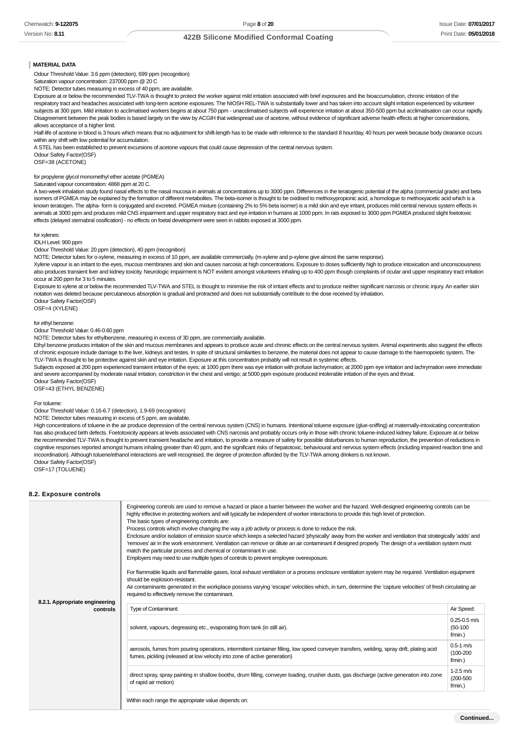# **422B Silicone Modified Conformal Coating**

#### **MATERIAL DATA**

Odour Threshold Value: 3.6 ppm (detection), 699 ppm (recognition)

Saturation vapour concentration: 237000 ppm @ 20 C

NOTE: Detector tubes measuring in excess of 40 ppm, are available.

Exposure at or below the recommended TLV-TWA is thought to protect the worker against mild irritation associated with brief exposures and the bioaccumulation, chronic irritation of the respiratory tract and headaches associated with long-term acetone exposures. The NIOSH REL-TWA is substantially lower and has taken into account slight irritation experienced by volunteer subjects at 300 ppm. Mild irritation to acclimatised workers begins at about 750 ppm - unacclimatised subjects will experience irritation at about 350-500 ppm but acclimatisation can occur rapidly. Disagreement between the peak bodies is based largely on the view by ACGIH that widespread use of acetone, without evidence of significant adverse health effects at higher concentrations, allows acceptance of a higher limit.

Half-life of acetone in blood is 3 hours which means that no adjustment for shift-length has to be made with reference to the standard 8 hour/day, 40 hours per week because body clearance occurs within any shift with low potential for accumulation.

A STEL has been established to prevent excursions of acetone vapours that could cause depression of the central nervous system.

Odour Safety Factor(OSF) OSF=38 (ACETONE)

for propylene glycol monomethyl ether acetate (PGMEA)

#### Saturated vapour concentration: 4868 ppm at 20 C.

A two-week inhalation study found nasal effects to the nasal mucosa in animals at concentrations up to 3000 ppm. Differences in the teratogenic potential of the alpha (commercial grade) and beta isomers of PGMEA may be explained by the formation of different metabolites. The beta-isomer is thought to be oxidised to methoxypropionic acid, a homologue to methoxyacetic acid which is a known teratogen. The alpha- form is conjugated and excreted. PGMEA mixture (containing 2% to 5% beta isomer) is a mild skin and eye irritant, produces mild central nervous system effects in animals at 3000 ppm and produces mild CNS impairment and upper respiratory tract and eye irritation in humans at 1000 ppm. In rats exposed to 3000 ppm PGMEA produced slight foetotoxic effects (delayed sternabral ossification) - no effects on foetal development were seen in rabbits exposed at 3000 ppm.

#### for xylenes:

IDLH Level: 900 ppm

Odour Threshold Value: 20 ppm (detection), 40 ppm (recognition)

NOTE: Detector tubes for o-xylene, measuring in excess of 10 ppm, are available commercially. (m-xylene and p-xylene give almost the same response).

Xylene vapour is an irritant to the eyes, mucous membranes and skin and causes narcosis at high concentrations. Exposure to doses sufficiently high to produce intoxication and unconsciousness also produces transient liver and kidney toxicity. Neurologic impairment is NOT evident amongst volunteers inhaling up to 400 ppm though complaints of ocular and upper respiratory tract irritation occur at 200 ppm for 3 to 5 minutes.

Exposure to xylene at or below the recommended TLV-TWA and STEL is thought to minimise the risk of irritant effects and to produce neither significant narcosis or chronic injury. An earlier skin notation was deleted because percutaneous absorption is gradual and protracted and does not substantially contribute to the dose received by inhalation. Odour Safety Factor(OSF)

OSF=4 (XYLENE)

#### for ethyl benzene:

Odour Threshold Value: 0.46-0.60 ppm

NOTE: Detector tubes for ethylbenzene, measuring in excess of 30 ppm, are commercially available.

Ethyl benzene produces irritation of the skin and mucous membranes and appears to produce acute and chronic effects on the central nervous system. Animal experiments also suggest the effects of chronic exposure include damage to the liver, kidneys and testes. In spite of structural similarities to benzene, the material does not appear to cause damage to the haemopoietic system. The TLV-TWA is thought to be protective against skin and eye irritation. Exposure at this concentration probably will not result in systemic effects.

Subjects exposed at 200 ppm experienced transient irritation of the eyes; at 1000 ppm there was eye irritation with profuse lachrymation; at 2000 ppm eye irritation and lachrymation were immediate and severe accompanied by moderate nasal irritation, constriction in the chest and vertigo; at 5000 ppm exposure produced intolerable irritation of the eyes and throat.

Odour Safety Factor(OSF)

OSF=43 (ETHYL BENZENE)

#### For toluene:

Odour Threshold Value: 0.16-6.7 (detection), 1.9-69 (recognition)

NOTE: Detector tubes measuring in excess of 5 ppm, are available.

High concentrations of toluene in the air produce depression of the central nervous system (CNS) in humans. Intentional toluene exposure (glue-sniffing) at maternally-intoxicating concentration has also produced birth defects. Foetotoxicity appears at levels associated with CNS narcosis and probably occurs only in those with chronic toluene-induced kidney failure. Exposure at or below the recommended TLV-TWA is thought to prevent transient headache and irritation, to provide a measure of safety for possible disturbances to human reproduction, the prevention of reductions in cognitive responses reported amongst humans inhaling greater than 40 ppm, and the significant risks of hepatotoxic, behavioural and nervous system effects (including impaired reaction time and incoordination). Although toluene/ethanol interactions are well recognised, the degree of protection afforded by the TLV-TWA among drinkers is not known. Odour Safety Factor(OSF)

OSF=17 (TOLUENE)

#### **8.2. Exposure controls**

| 8.2.1. Appropriate engineering | Engineering controls are used to remove a hazard or place a barrier between the worker and the hazard. Well-designed engineering controls can be<br>highly effective in protecting workers and will typically be independent of worker interactions to provide this high level of protection.<br>The basic types of engineering controls are:<br>Process controls which involve changing the way a job activity or process is done to reduce the risk.<br>Enclosure and/or isolation of emission source which keeps a selected hazard 'physically' away from the worker and ventilation that strategically 'adds' and<br>'removes' air in the work environment. Ventilation can remove or dilute an air contaminant if designed properly. The design of a ventilation system must<br>match the particular process and chemical or contaminant in use.<br>Employers may need to use multiple types of controls to prevent employee overexposure.<br>For flammable liquids and flammable gases, local exhaust ventilation or a process enclosure ventilation system may be required. Ventilation equipment<br>should be explosion-resistant.<br>Air contaminants generated in the workplace possess varying 'escape' velocities which, in turn, determine the 'capture velocities' of fresh circulating air<br>required to effectively remove the contaminant. |                                            |
|--------------------------------|--------------------------------------------------------------------------------------------------------------------------------------------------------------------------------------------------------------------------------------------------------------------------------------------------------------------------------------------------------------------------------------------------------------------------------------------------------------------------------------------------------------------------------------------------------------------------------------------------------------------------------------------------------------------------------------------------------------------------------------------------------------------------------------------------------------------------------------------------------------------------------------------------------------------------------------------------------------------------------------------------------------------------------------------------------------------------------------------------------------------------------------------------------------------------------------------------------------------------------------------------------------------------------------------------------------------------------------------------------------|--------------------------------------------|
| controls                       | Type of Contaminant:                                                                                                                                                                                                                                                                                                                                                                                                                                                                                                                                                                                                                                                                                                                                                                                                                                                                                                                                                                                                                                                                                                                                                                                                                                                                                                                                         | Air Speed:                                 |
|                                | solvent, vapours, degreasing etc., evaporating from tank (in still air).                                                                                                                                                                                                                                                                                                                                                                                                                                                                                                                                                                                                                                                                                                                                                                                                                                                                                                                                                                                                                                                                                                                                                                                                                                                                                     | $0.25 - 0.5$ m/s<br>$(50-100)$<br>f/min.)  |
|                                | aerosols, fumes from pouring operations, intermittent container filling, low speed conveyer transfers, welding, spray drift, plating acid<br>fumes, pickling (released at low velocity into zone of active generation)                                                                                                                                                                                                                                                                                                                                                                                                                                                                                                                                                                                                                                                                                                                                                                                                                                                                                                                                                                                                                                                                                                                                       | $0.5 - 1$ m/s<br>$(100 - 200)$<br>f/min.)  |
|                                | direct spray, spray painting in shallow booths, drum filling, conveyer loading, crusher dusts, gas discharge (active generation into zone<br>of rapid air motion)                                                                                                                                                                                                                                                                                                                                                                                                                                                                                                                                                                                                                                                                                                                                                                                                                                                                                                                                                                                                                                                                                                                                                                                            | $1-2.5$ m/s<br>$(200 - 500)$<br>$f/min.$ ) |
|                                | Within each range the appropriate value depends on:                                                                                                                                                                                                                                                                                                                                                                                                                                                                                                                                                                                                                                                                                                                                                                                                                                                                                                                                                                                                                                                                                                                                                                                                                                                                                                          |                                            |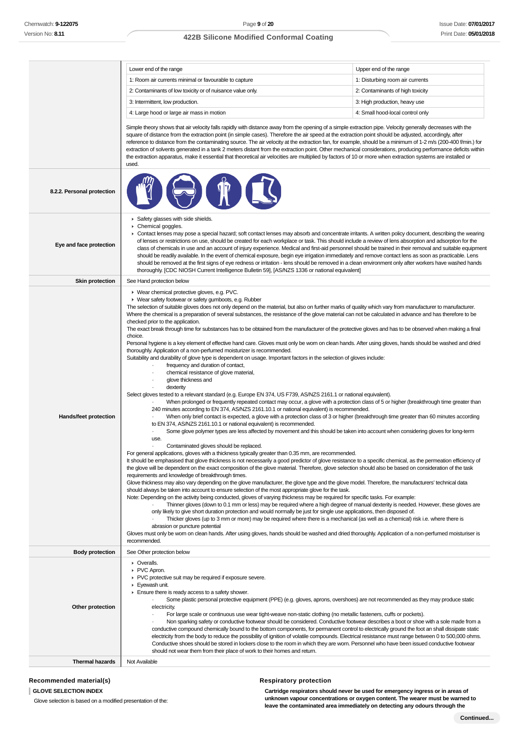Î.

# **422B Silicone Modified Conformal Coating**

|                            | Lower end of the range                                                                                                                                                                                                                                                                                                                                                                                                                                                                                                                                                                                                                                                                                                                                                                                                                                                                                                                                                                                                                                                                                                                                                                                                                                                                                                                                                                                                                                                                                                                                                                                                                                                                                                                                                                                                                                                                                                                                                                                                                                                                                                                                                                                                                                                                                                                                                                                                                                                                                                                                                                                                                                                                                                                                                                                                                                                                                                                                                                                                                                                                                                                                                                                                                                                                                                                                                                                        | Upper end of the range           |  |
|----------------------------|---------------------------------------------------------------------------------------------------------------------------------------------------------------------------------------------------------------------------------------------------------------------------------------------------------------------------------------------------------------------------------------------------------------------------------------------------------------------------------------------------------------------------------------------------------------------------------------------------------------------------------------------------------------------------------------------------------------------------------------------------------------------------------------------------------------------------------------------------------------------------------------------------------------------------------------------------------------------------------------------------------------------------------------------------------------------------------------------------------------------------------------------------------------------------------------------------------------------------------------------------------------------------------------------------------------------------------------------------------------------------------------------------------------------------------------------------------------------------------------------------------------------------------------------------------------------------------------------------------------------------------------------------------------------------------------------------------------------------------------------------------------------------------------------------------------------------------------------------------------------------------------------------------------------------------------------------------------------------------------------------------------------------------------------------------------------------------------------------------------------------------------------------------------------------------------------------------------------------------------------------------------------------------------------------------------------------------------------------------------------------------------------------------------------------------------------------------------------------------------------------------------------------------------------------------------------------------------------------------------------------------------------------------------------------------------------------------------------------------------------------------------------------------------------------------------------------------------------------------------------------------------------------------------------------------------------------------------------------------------------------------------------------------------------------------------------------------------------------------------------------------------------------------------------------------------------------------------------------------------------------------------------------------------------------------------------------------------------------------------------------------------------------------------|----------------------------------|--|
|                            | 1: Room air currents minimal or favourable to capture                                                                                                                                                                                                                                                                                                                                                                                                                                                                                                                                                                                                                                                                                                                                                                                                                                                                                                                                                                                                                                                                                                                                                                                                                                                                                                                                                                                                                                                                                                                                                                                                                                                                                                                                                                                                                                                                                                                                                                                                                                                                                                                                                                                                                                                                                                                                                                                                                                                                                                                                                                                                                                                                                                                                                                                                                                                                                                                                                                                                                                                                                                                                                                                                                                                                                                                                                         | 1: Disturbing room air currents  |  |
|                            | 2: Contaminants of low toxicity or of nuisance value only.                                                                                                                                                                                                                                                                                                                                                                                                                                                                                                                                                                                                                                                                                                                                                                                                                                                                                                                                                                                                                                                                                                                                                                                                                                                                                                                                                                                                                                                                                                                                                                                                                                                                                                                                                                                                                                                                                                                                                                                                                                                                                                                                                                                                                                                                                                                                                                                                                                                                                                                                                                                                                                                                                                                                                                                                                                                                                                                                                                                                                                                                                                                                                                                                                                                                                                                                                    | 2: Contaminants of high toxicity |  |
|                            | 3: Intermittent, low production.                                                                                                                                                                                                                                                                                                                                                                                                                                                                                                                                                                                                                                                                                                                                                                                                                                                                                                                                                                                                                                                                                                                                                                                                                                                                                                                                                                                                                                                                                                                                                                                                                                                                                                                                                                                                                                                                                                                                                                                                                                                                                                                                                                                                                                                                                                                                                                                                                                                                                                                                                                                                                                                                                                                                                                                                                                                                                                                                                                                                                                                                                                                                                                                                                                                                                                                                                                              | 3: High production, heavy use    |  |
|                            | 4: Large hood or large air mass in motion                                                                                                                                                                                                                                                                                                                                                                                                                                                                                                                                                                                                                                                                                                                                                                                                                                                                                                                                                                                                                                                                                                                                                                                                                                                                                                                                                                                                                                                                                                                                                                                                                                                                                                                                                                                                                                                                                                                                                                                                                                                                                                                                                                                                                                                                                                                                                                                                                                                                                                                                                                                                                                                                                                                                                                                                                                                                                                                                                                                                                                                                                                                                                                                                                                                                                                                                                                     | 4: Small hood-local control only |  |
|                            | Simple theory shows that air velocity falls rapidly with distance away from the opening of a simple extraction pipe. Velocity generally decreases with the<br>square of distance from the extraction point (in simple cases). Therefore the air speed at the extraction point should be adjusted, accordingly, after<br>reference to distance from the contaminating source. The air velocity at the extraction fan, for example, should be a minimum of 1-2 m/s (200-400 f/min.) for<br>extraction of solvents generated in a tank 2 meters distant from the extraction point. Other mechanical considerations, producing performance deficits within<br>the extraction apparatus, make it essential that theoretical air velocities are multiplied by factors of 10 or more when extraction systems are installed or<br>used.                                                                                                                                                                                                                                                                                                                                                                                                                                                                                                                                                                                                                                                                                                                                                                                                                                                                                                                                                                                                                                                                                                                                                                                                                                                                                                                                                                                                                                                                                                                                                                                                                                                                                                                                                                                                                                                                                                                                                                                                                                                                                                                                                                                                                                                                                                                                                                                                                                                                                                                                                                               |                                  |  |
| 8.2.2. Personal protection |                                                                                                                                                                                                                                                                                                                                                                                                                                                                                                                                                                                                                                                                                                                                                                                                                                                                                                                                                                                                                                                                                                                                                                                                                                                                                                                                                                                                                                                                                                                                                                                                                                                                                                                                                                                                                                                                                                                                                                                                                                                                                                                                                                                                                                                                                                                                                                                                                                                                                                                                                                                                                                                                                                                                                                                                                                                                                                                                                                                                                                                                                                                                                                                                                                                                                                                                                                                                               |                                  |  |
| Eye and face protection    | Safety glasses with side shields.<br>Chemical goggles.<br>► Contact lenses may pose a special hazard; soft contact lenses may absorb and concentrate irritants. A written policy document, describing the wearing<br>of lenses or restrictions on use, should be created for each workplace or task. This should include a review of lens absorption and adsorption for the<br>class of chemicals in use and an account of injury experience. Medical and first-aid personnel should be trained in their removal and suitable equipment<br>should be readily available. In the event of chemical exposure, begin eye irrigation immediately and remove contact lens as soon as practicable. Lens<br>should be removed at the first signs of eye redness or irritation - lens should be removed in a clean environment only after workers have washed hands<br>thoroughly. [CDC NIOSH Current Intelligence Bulletin 59], [AS/NZS 1336 or national equivalent]                                                                                                                                                                                                                                                                                                                                                                                                                                                                                                                                                                                                                                                                                                                                                                                                                                                                                                                                                                                                                                                                                                                                                                                                                                                                                                                                                                                                                                                                                                                                                                                                                                                                                                                                                                                                                                                                                                                                                                                                                                                                                                                                                                                                                                                                                                                                                                                                                                                  |                                  |  |
| <b>Skin protection</b>     | See Hand protection below                                                                                                                                                                                                                                                                                                                                                                                                                                                                                                                                                                                                                                                                                                                                                                                                                                                                                                                                                                                                                                                                                                                                                                                                                                                                                                                                                                                                                                                                                                                                                                                                                                                                                                                                                                                                                                                                                                                                                                                                                                                                                                                                                                                                                                                                                                                                                                                                                                                                                                                                                                                                                                                                                                                                                                                                                                                                                                                                                                                                                                                                                                                                                                                                                                                                                                                                                                                     |                                  |  |
| Hands/feet protection      | ▶ Wear chemical protective gloves, e.g. PVC.<br>• Wear safety footwear or safety gumboots, e.g. Rubber<br>The selection of suitable gloves does not only depend on the material, but also on further marks of quality which vary from manufacturer to manufacturer.<br>Where the chemical is a preparation of several substances, the resistance of the glove material can not be calculated in advance and has therefore to be<br>checked prior to the application.<br>The exact break through time for substances has to be obtained from the manufacturer of the protective gloves and has to be observed when making a final<br>choice.<br>Personal hygiene is a key element of effective hand care. Gloves must only be worn on clean hands. After using gloves, hands should be washed and dried<br>thoroughly. Application of a non-perfumed moisturizer is recommended.<br>Suitability and durability of glove type is dependent on usage. Important factors in the selection of gloves include:<br>frequency and duration of contact,<br>chemical resistance of glove material,<br>glove thickness and<br>dexterity<br>Select gloves tested to a relevant standard (e.g. Europe EN 374, US F739, AS/NZS 2161.1 or national equivalent).<br>When prolonged or frequently repeated contact may occur, a glove with a protection class of 5 or higher (breakthrough time greater than<br>240 minutes according to EN 374, AS/NZS 2161.10.1 or national equivalent) is recommended.<br>When only brief contact is expected, a glove with a protection class of 3 or higher (breakthrough time greater than 60 minutes according<br>to EN 374, AS/NZS 2161.10.1 or national equivalent) is recommended.<br>Some glove polymer types are less affected by movement and this should be taken into account when considering gloves for long-term<br>use.<br>Contaminated gloves should be replaced.<br>For general applications, gloves with a thickness typically greater than 0.35 mm, are recommended.<br>It should be emphasised that glove thickness is not necessarily a good predictor of glove resistance to a specific chemical, as the permeation efficiency of<br>the glove will be dependent on the exact composition of the glove material. Therefore, glove selection should also be based on consideration of the task<br>requirements and knowledge of breakthrough times.<br>Glove thickness may also vary depending on the glove manufacturer, the glove type and the glove model. Therefore, the manufacturers' technical data<br>should always be taken into account to ensure selection of the most appropriate glove for the task.<br>Note: Depending on the activity being conducted, gloves of varying thickness may be required for specific tasks. For example:<br>Thinner gloves (down to 0.1 mm or less) may be required where a high degree of manual dexterity is needed. However, these gloves are<br>only likely to give short duration protection and would normally be just for single use applications, then disposed of.<br>Thicker gloves (up to 3 mm or more) may be required where there is a mechanical (as well as a chemical) risk i.e. where there is<br>abrasion or puncture potential<br>Gloves must only be worn on clean hands. After using gloves, hands should be washed and dried thoroughly. Application of a non-perfumed moisturiser is<br>recommended. |                                  |  |
| <b>Body protection</b>     | See Other protection below                                                                                                                                                                                                                                                                                                                                                                                                                                                                                                                                                                                                                                                                                                                                                                                                                                                                                                                                                                                                                                                                                                                                                                                                                                                                                                                                                                                                                                                                                                                                                                                                                                                                                                                                                                                                                                                                                                                                                                                                                                                                                                                                                                                                                                                                                                                                                                                                                                                                                                                                                                                                                                                                                                                                                                                                                                                                                                                                                                                                                                                                                                                                                                                                                                                                                                                                                                                    |                                  |  |
| Other protection           | • Overalls.<br>PVC Apron.<br>▶ PVC protective suit may be required if exposure severe.<br>Eyewash unit.<br>Ensure there is ready access to a safety shower.<br>Some plastic personal protective equipment (PPE) (e.g. gloves, aprons, overshoes) are not recommended as they may produce static<br>electricity.<br>For large scale or continuous use wear tight-weave non-static clothing (no metallic fasteners, cuffs or pockets).<br>Non sparking safety or conductive footwear should be considered. Conductive footwear describes a boot or shoe with a sole made from a<br>conductive compound chemically bound to the bottom components, for permanent control to electrically ground the foot an shall dissipate static<br>electricity from the body to reduce the possibility of ignition of volatile compounds. Electrical resistance must range between 0 to 500,000 ohms.<br>Conductive shoes should be stored in lockers close to the room in which they are worn. Personnel who have been issued conductive footwear                                                                                                                                                                                                                                                                                                                                                                                                                                                                                                                                                                                                                                                                                                                                                                                                                                                                                                                                                                                                                                                                                                                                                                                                                                                                                                                                                                                                                                                                                                                                                                                                                                                                                                                                                                                                                                                                                                                                                                                                                                                                                                                                                                                                                                                                                                                                                                            |                                  |  |
| <b>Thermal hazards</b>     | should not wear them from their place of work to their homes and return.<br>Not Available                                                                                                                                                                                                                                                                                                                                                                                                                                                                                                                                                                                                                                                                                                                                                                                                                                                                                                                                                                                                                                                                                                                                                                                                                                                                                                                                                                                                                                                                                                                                                                                                                                                                                                                                                                                                                                                                                                                                                                                                                                                                                                                                                                                                                                                                                                                                                                                                                                                                                                                                                                                                                                                                                                                                                                                                                                                                                                                                                                                                                                                                                                                                                                                                                                                                                                                     |                                  |  |

# **Recommended material(s)**

## **GLOVE SELECTION INDEX**

Glove selection is based on a modified presentation of the:

#### **Cartridge respirators should never be used for emergency ingress or in areas of unknown vapour concentrations or oxygen content. The wearer must be warned to leave the contaminated area immediately on detecting any odours through the**

**Respiratory protection**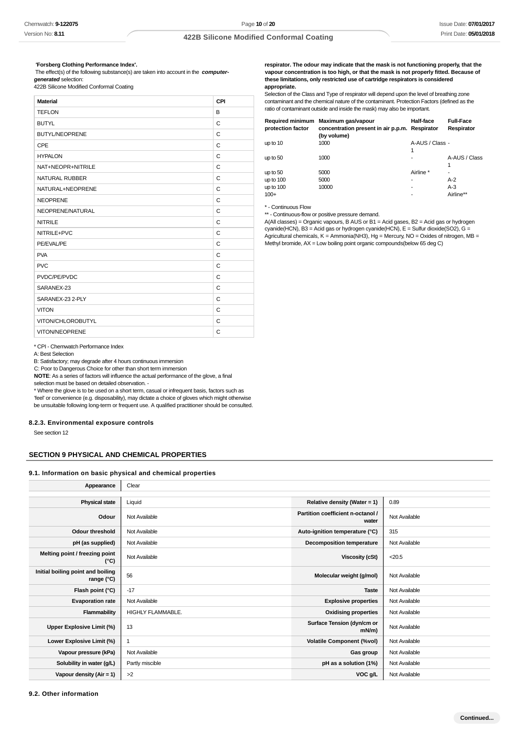#### **'Forsberg Clothing Performance Index'.**

 The effect(s) of the following substance(s) are taken into account in the **computergenerated** selection:

422B Silicone Modified Conformal Coating

| <b>Material</b>       | CPI          |
|-----------------------|--------------|
| <b>TEFLON</b>         | B            |
| <b>BUTYL</b>          | C            |
| <b>BUTYL/NEOPRENE</b> | C            |
| <b>CPE</b>            | C            |
| <b>HYPALON</b>        | C            |
| NAT+NEOPR+NITRILE     | C            |
| NATURAL RUBBER        | $\mathsf{C}$ |
| NATURAL+NEOPRENE      | C            |
| <b>NEOPRENE</b>       | C            |
| NEOPRENE/NATURAL      | C            |
| <b>NITRILE</b>        | C            |
| NITRILE+PVC           | C            |
| PE/EVAL/PE            | C            |
| <b>PVA</b>            | C            |
| <b>PVC</b>            | C            |
| PVDC/PE/PVDC          | C            |
| SARANEX-23            | $\mathsf{C}$ |
| SARANEX-23 2-PLY      | C            |
| <b>VITON</b>          | C            |
| VITON/CHLOROBUTYL     | C            |
| VITON/NEOPRENE        | C            |

**respirator. The odour may indicate that the mask is not functioning properly, that the vapour concentration is too high, or that the mask is not properly fitted. Because of these limitations, only restricted use of cartridge respirators is considered appropriate.**

Selection of the Class and Type of respirator will depend upon the level of breathing zone contaminant and the chemical nature of the contaminant. Protection Factors (defined as the ratio of contaminant outside and inside the mask) may also be important.

| protection factor | Required minimum Maximum gas/vapour<br>concentration present in air p.p.m. Respirator<br>(by volume) | Half-face            | <b>Full-Face</b><br>Respirator |
|-------------------|------------------------------------------------------------------------------------------------------|----------------------|--------------------------------|
| up to 10          | 1000                                                                                                 | A-AUS / Class -<br>1 |                                |
| up to 50          | 1000                                                                                                 |                      | A-AUS / Class<br>1             |
| up to 50          | 5000                                                                                                 | Airline *            | ۰                              |
| up to 100         | 5000                                                                                                 | ٠                    | $A-2$                          |
| up to 100         | 10000                                                                                                | ۰                    | $A-3$                          |
| $100+$            |                                                                                                      |                      | Airline**                      |

\* - Continuous Flow

\*\* - Continuous-flow or positive pressure demand.

A(All classes) = Organic vapours, B AUS or B1 = Acid gases, B2 = Acid gas or hydrogen cyanide(HCN), B3 = Acid gas or hydrogen cyanide(HCN), E = Sulfur dioxide(SO2), G = Agricultural chemicals, K = Ammonia(NH3), Hg = Mercury, NO = Oxides of nitrogen, MB = Methyl bromide, AX = Low boiling point organic compounds(below 65 deg C)

\* CPI - Chemwatch Performance Index

A: Best Selection

B: Satisfactory; may degrade after 4 hours continuous immersion

C: Poor to Dangerous Choice for other than short term immersion

**NOTE**: As a series of factors will influence the actual performance of the glove, a final

selection must be based on detailed observation. -

\* Where the glove is to be used on a short term, casual or infrequent basis, factors such as 'feel' or convenience (e.g. disposability), may dictate a choice of gloves which might otherwise be unsuitable following long-term or frequent use. A qualified practitioner should be consulted.

## **8.2.3. Environmental exposure controls**

See section 12

# **SECTION 9 PHYSICAL AND CHEMICAL PROPERTIES**

**9.1. Information on basic physical and chemical properties**

| Appearance                                      | Clear             |                                            |               |
|-------------------------------------------------|-------------------|--------------------------------------------|---------------|
| <b>Physical state</b>                           | Liquid            | Relative density (Water = $1$ )            | 0.89          |
| Odour                                           | Not Available     | Partition coefficient n-octanol /<br>water | Not Available |
| <b>Odour threshold</b>                          | Not Available     | Auto-ignition temperature (°C)             | 315           |
| pH (as supplied)                                | Not Available     | <b>Decomposition temperature</b>           | Not Available |
| Melting point / freezing point<br>(°C)          | Not Available     | <b>Viscosity (cSt)</b>                     | < 20.5        |
| Initial boiling point and boiling<br>range (°C) | 56                | Molecular weight (g/mol)                   | Not Available |
| Flash point (°C)                                | $-17$             | <b>Taste</b>                               | Not Available |
| <b>Evaporation rate</b>                         | Not Available     | <b>Explosive properties</b>                | Not Available |
| <b>Flammability</b>                             | HIGHLY FLAMMABLE. | <b>Oxidising properties</b>                | Not Available |
| Upper Explosive Limit (%)                       | 13                | Surface Tension (dyn/cm or<br>$mN/m$ )     | Not Available |
| Lower Explosive Limit (%)                       | 1                 | <b>Volatile Component (%vol)</b>           | Not Available |
| Vapour pressure (kPa)                           | Not Available     | Gas group                                  | Not Available |
| Solubility in water (g/L)                       | Partly miscible   | pH as a solution (1%)                      | Not Available |
| Vapour density $(Air = 1)$                      | >2                | VOC g/L                                    | Not Available |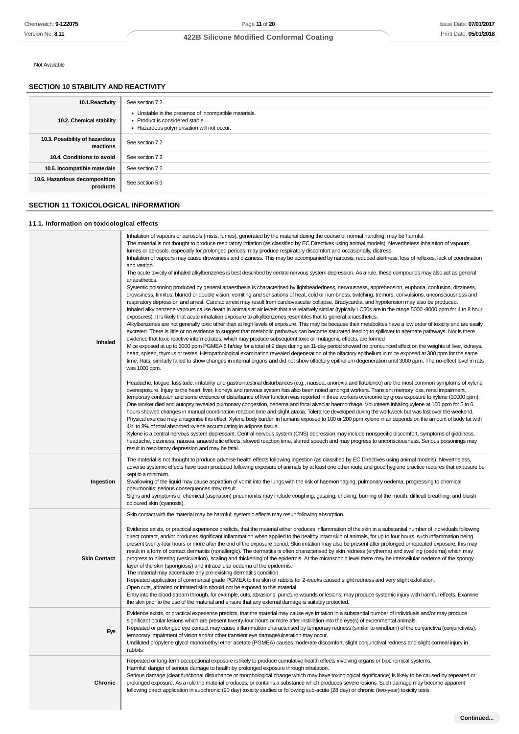**Continued...**

# **422B Silicone Modified Conformal Coating**

Not Available

# **SECTION 10 STABILITY AND REACTIVITY**

| 10.1. Reactivity                            | See section 7.2                                                                                                                      |
|---------------------------------------------|--------------------------------------------------------------------------------------------------------------------------------------|
| 10.2. Chemical stability                    | • Unstable in the presence of incompatible materials.<br>▶ Product is considered stable.<br>Hazardous polymerisation will not occur. |
| 10.3. Possibility of hazardous<br>reactions | See section 7.2                                                                                                                      |
| 10.4. Conditions to avoid                   | See section 7.2                                                                                                                      |
| 10.5. Incompatible materials                | See section 7.2                                                                                                                      |
| 10.6. Hazardous decomposition<br>products   | See section 5.3                                                                                                                      |

# **SECTION 11 TOXICOLOGICAL INFORMATION**

# **11.1. Information on toxicological effects**

| Inhaled             | Inhalation of vapours or aerosols (mists, fumes), generated by the material during the course of normal handling, may be harmful.<br>The material is not thought to produce respiratory irritation (as classified by EC Directives using animal models). Nevertheless inhalation of vapours,<br>fumes or aerosols, especially for prolonged periods, may produce respiratory discomfort and occasionally, distress.<br>Inhalation of vapours may cause drowsiness and dizziness. This may be accompanied by narcosis, reduced alertness, loss of reflexes, lack of coordination<br>and vertigo.<br>The acute toxicity of inhaled alkylbenzenes is best described by central nervous system depression. As a rule, these compounds may also act as general<br>anaesthetics.<br>Systemic poisoning produced by general anaesthesia is characterised by lightheadedness, nervousness, apprehension, euphoria, confusion, dizziness,<br>drowsiness, tinnitus, blurred or double vision, vomiting and sensations of heat, cold or numbness, twitching, tremors, convulsions, unconsciousness and<br>respiratory depression and arrest. Cardiac arrest may result from cardiovascular collapse. Bradycardia, and hypotension may also be produced.<br>Inhaled alkylbenzene vapours cause death in animals at air levels that are relatively similar (typically LC50s are in the range 5000 -8000 ppm for 4 to 8 hour<br>exposures). It is likely that acute inhalation exposure to alkylbenzenes resembles that to general anaesthetics.<br>Alkylbenzenes are not generally toxic other than at high levels of exposure. This may be because their metabolites have a low order of toxicity and are easily<br>excreted. There is little or no evidence to suggest that metabolic pathways can become saturated leading to spillover to alternate pathways. Nor is there<br>evidence that toxic reactive intermediates, which may produce subsequent toxic or mutagenic effects, are formed<br>Mice exposed at up to 3000 ppm PGMEA 6 hr/day for a total of 9 days during an 11-day period showed no pronounced effect on the weights of liver, kidneys,<br>heart, spleen, thymus or testes. Histopathological examination revealed degeneration of the olfactory epithelium in mice exposed at 300 ppm for the same<br>time. Rats, similarly failed to show changes in internal organs and did not show olfactory epithelium degeneration until 3000 ppm. The no-effect level in rats<br>was 1000 ppm. |
|---------------------|--------------------------------------------------------------------------------------------------------------------------------------------------------------------------------------------------------------------------------------------------------------------------------------------------------------------------------------------------------------------------------------------------------------------------------------------------------------------------------------------------------------------------------------------------------------------------------------------------------------------------------------------------------------------------------------------------------------------------------------------------------------------------------------------------------------------------------------------------------------------------------------------------------------------------------------------------------------------------------------------------------------------------------------------------------------------------------------------------------------------------------------------------------------------------------------------------------------------------------------------------------------------------------------------------------------------------------------------------------------------------------------------------------------------------------------------------------------------------------------------------------------------------------------------------------------------------------------------------------------------------------------------------------------------------------------------------------------------------------------------------------------------------------------------------------------------------------------------------------------------------------------------------------------------------------------------------------------------------------------------------------------------------------------------------------------------------------------------------------------------------------------------------------------------------------------------------------------------------------------------------------------------------------------------------------------------------------------------------------------------------------------------------------------------------------------------------------------------------------------------------|
|                     | Headache, fatigue, lassitude, irritability and gastrointestinal disturbances (e.g., nausea, anorexia and flatulence) are the most common symptoms of xylene<br>overexposure. Injury to the heart, liver, kidneys and nervous system has also been noted amongst workers. Transient memory loss, renal impairment,<br>temporary confusion and some evidence of disturbance of liver function was reported in three workers overcome by gross exposure to xylene (10000 ppm).<br>One worker died and autopsy revealed pulmonary congestion, oedema and focal alveolar haemorrhage. Volunteers inhaling xylene at 100 ppm for 5 to 6<br>hours showed changes in manual coordination reaction time and slight ataxia. Tolerance developed during the workweek but was lost over the weekend.<br>Physical exercise may antagonise this effect. Xylene body burden in humans exposed to 100 or 200 ppm xylene in air depends on the amount of body fat with<br>4% to 8% of total absorbed xylene accumulating in adipose tissue.<br>Xylene is a central nervous system depressant. Central nervous system (CNS) depression may include nonspecific discomfort, symptoms of giddiness,<br>headache, dizziness, nausea, anaesthetic effects, slowed reaction time, slurred speech and may progress to unconsciousness. Serious poisonings may<br>result in respiratory depression and may be fatal.                                                                                                                                                                                                                                                                                                                                                                                                                                                                                                                                                                                                                                                                                                                                                                                                                                                                                                                                                                                                                                                                                                      |
| Ingestion           | The material is not thought to produce adverse health effects following ingestion (as classified by EC Directives using animal models). Nevertheless,<br>adverse systemic effects have been produced following exposure of animals by at least one other route and good hygiene practice requires that exposure be<br>kept to a minimum.<br>Swallowing of the liquid may cause aspiration of vomit into the lungs with the risk of haemorrhaging, pulmonary oedema, progressing to chemical<br>pneumonitis; serious consequences may result.<br>Signs and symptoms of chemical (aspiration) pneumonitis may include coughing, gasping, choking, burning of the mouth, difficult breathing, and bluish<br>coloured skin (cyanosis).                                                                                                                                                                                                                                                                                                                                                                                                                                                                                                                                                                                                                                                                                                                                                                                                                                                                                                                                                                                                                                                                                                                                                                                                                                                                                                                                                                                                                                                                                                                                                                                                                                                                                                                                                               |
| <b>Skin Contact</b> | Skin contact with the material may be harmful; systemic effects may result following absorption.<br>Evidence exists, or practical experience predicts, that the material either produces inflammation of the skin in a substantial number of individuals following<br>direct contact, and/or produces significant inflammation when applied to the healthy intact skin of animals, for up to four hours, such inflammation being<br>present twenty-four hours or more after the end of the exposure period. Skin irritation may also be present after prolonged or repeated exposure; this may<br>result in a form of contact dermatitis (nonallergic). The dermatitis is often characterised by skin redness (erythema) and swelling (oedema) which may<br>progress to blistering (vesiculation), scaling and thickening of the epidermis. At the microscopic level there may be intercellular oedema of the spongy<br>layer of the skin (spongiosis) and intracellular oedema of the epidermis.<br>The material may accentuate any pre-existing dermatitis condition<br>Repeated application of commercial grade PGMEA to the skin of rabbits for 2-weeks caused slight redness and very slight exfoliation.<br>Open cuts, abraded or irritated skin should not be exposed to this material<br>Entry into the blood-stream through, for example, cuts, abrasions, puncture wounds or lesions, may produce systemic injury with harmful effects. Examine<br>the skin prior to the use of the material and ensure that any external damage is suitably protected.                                                                                                                                                                                                                                                                                                                                                                                                                                                                                                                                                                                                                                                                                                                                                                                                                                                                                                                                |
| Eye                 | Evidence exists, or practical experience predicts, that the material may cause eye irritation in a substantial number of individuals and/or may produce<br>significant ocular lesions which are present twenty-four hours or more after instillation into the eye(s) of experimental animals.<br>Repeated or prolonged eye contact may cause inflammation characterised by temporary redness (similar to windburn) of the conjunctiva (conjunctivitis);<br>temporary impairment of vision and/or other transient eye damage/ulceration may occur.<br>Undiluted propylene glycol monomethyl ether acetate (PGMEA) causes moderate discomfort, slight conjunctival redness and slight corneal injury in<br>rabbits                                                                                                                                                                                                                                                                                                                                                                                                                                                                                                                                                                                                                                                                                                                                                                                                                                                                                                                                                                                                                                                                                                                                                                                                                                                                                                                                                                                                                                                                                                                                                                                                                                                                                                                                                                                 |
| Chronic             | Repeated or long-term occupational exposure is likely to produce cumulative health effects involving organs or biochemical systems.<br>Harmful: danger of serious damage to health by prolonged exposure through inhalation.<br>Serious damage (clear functional disturbance or morphological change which may have toxicological significance) is likely to be caused by repeated or<br>prolonged exposure. As a rule the material produces, or contains a substance which produces severe lesions. Such damage may become apparent<br>following direct application in subchronic (90 day) toxicity studies or following sub-acute (28 day) or chronic (two-year) toxicity tests.                                                                                                                                                                                                                                                                                                                                                                                                                                                                                                                                                                                                                                                                                                                                                                                                                                                                                                                                                                                                                                                                                                                                                                                                                                                                                                                                                                                                                                                                                                                                                                                                                                                                                                                                                                                                               |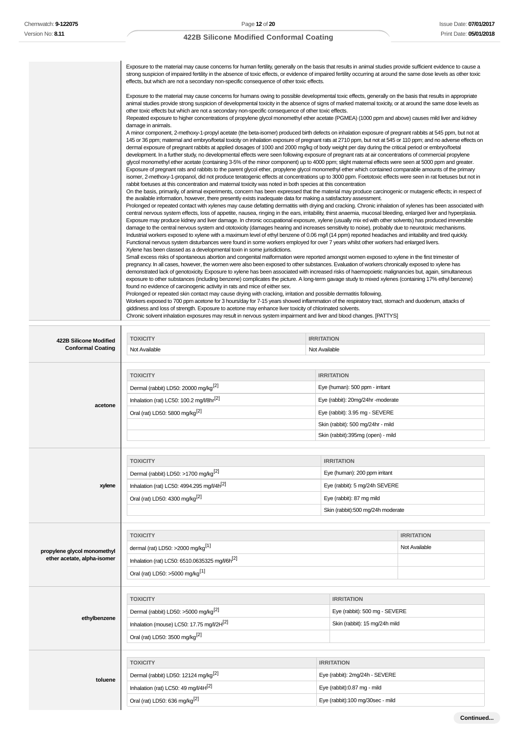T

# **422B Silicone Modified Conformal Coating**

| Exposure to the material may cause concerns for human fertility, generally on the basis that results in animal studies provide sufficient evidence to cause a<br>strong suspicion of impaired fertility in the absence of toxic effects, or evidence of impaired fertility occurring at around the same dose levels as other toxic<br>effects, but which are not a secondary non-specific consequence of other toxic effects.                                                                                                                                                                                                                                                                                                                                                                                                                                                                                                                                                                                                                                                                                        |
|----------------------------------------------------------------------------------------------------------------------------------------------------------------------------------------------------------------------------------------------------------------------------------------------------------------------------------------------------------------------------------------------------------------------------------------------------------------------------------------------------------------------------------------------------------------------------------------------------------------------------------------------------------------------------------------------------------------------------------------------------------------------------------------------------------------------------------------------------------------------------------------------------------------------------------------------------------------------------------------------------------------------------------------------------------------------------------------------------------------------|
| Exposure to the material may cause concerns for humans owing to possible developmental toxic effects, generally on the basis that results in appropriate<br>animal studies provide strong suspicion of developmental toxicity in the absence of signs of marked maternal toxicity, or at around the same dose levels as<br>other toxic effects but which are not a secondary non-specific consequence of other toxic effects.                                                                                                                                                                                                                                                                                                                                                                                                                                                                                                                                                                                                                                                                                        |
| Repeated exposure to higher concentrations of propylene glycol monomethyl ether acetate (PGMEA) (1000 ppm and above) causes mild liver and kidney<br>damage in animals.                                                                                                                                                                                                                                                                                                                                                                                                                                                                                                                                                                                                                                                                                                                                                                                                                                                                                                                                              |
| A minor component, 2-methoxy-1-propyl acetate (the beta-isomer) produced birth defects on inhalation exposure of pregnant rabbits at 545 ppm, but not at<br>145 or 36 ppm; maternal and embryo/foetal toxicity on inhalation exposure of pregnant rats at 2710 ppm, but not at 545 or 110 ppm; and no adverse effects on<br>dermal exposure of pregnant rabbits at applied dosages of 1000 and 2000 mg/kg of body weight per day during the critical period or embryo/foetal<br>development. In a further study, no developmental effects were seen following exposure of pregnant rats at air concentrations of commercial propylene<br>glycol monomethyl ether acetate (containing 3-5% of the minor component) up to 4000 ppm; slight maternal effects were seen at 5000 ppm and greater.<br>Exposure of pregnant rats and rabbits to the parent glycol ether, propylene glycol monomethyl ether which contained comparable amounts of the primary<br>isomer, 2-methoxy-1-propanol, did not produce teratogenic effects at concentrations up to 3000 ppm. Foetotoxic effects were seen in rat foetuses but not in |
| rabbit foetuses at this concentration and maternal toxicity was noted in both species at this concentration<br>On the basis, primarily, of animal experiments, concern has been expressed that the material may produce carcinogenic or mutagenic effects; in respect of                                                                                                                                                                                                                                                                                                                                                                                                                                                                                                                                                                                                                                                                                                                                                                                                                                             |
| the available information, however, there presently exists inadequate data for making a satisfactory assessment.                                                                                                                                                                                                                                                                                                                                                                                                                                                                                                                                                                                                                                                                                                                                                                                                                                                                                                                                                                                                     |
| Prolonged or repeated contact with xylenes may cause defatting dermatitis with drying and cracking. Chronic inhalation of xylenes has been associated with<br>central nervous system effects, loss of appetite, nausea, ringing in the ears, irritability, thirst anaemia, mucosal bleeding, enlarged liver and hyperplasia.<br>Exposure may produce kidney and liver damage. In chronic occupational exposure, xylene (usually mix ed with other solvents) has produced irreversible<br>damage to the central nervous system and ototoxicity (damages hearing and increases sensitivity to noise), probably due to neurotoxic mechanisms.                                                                                                                                                                                                                                                                                                                                                                                                                                                                           |
| Industrial workers exposed to xylene with a maximum level of ethyl benzene of 0.06 mg/l (14 ppm) reported headaches and irritability and tired quickly.<br>Functional nervous system disturbances were found in some workers employed for over 7 years whilst other workers had enlarged livers.<br>Xylene has been classed as a developmental toxin in some jurisdictions.                                                                                                                                                                                                                                                                                                                                                                                                                                                                                                                                                                                                                                                                                                                                          |
| Small excess risks of spontaneous abortion and congenital malformation were reported amongst women exposed to xylene in the first trimester of<br>pregnancy. In all cases, however, the women were also been exposed to other substances. Evaluation of workers chronically exposed to xylene has<br>demonstrated lack of genotoxicity. Exposure to xylene has been associated with increased risks of haemopoietic malignancies but, again, simultaneous<br>exposure to other substances (including benzene) complicates the picture. A long-term gavage study to mixed xylenes (containing 17% ethyl benzene)                                                                                                                                                                                                                                                                                                                                                                                                                                                                                                      |
| found no evidence of carcinogenic activity in rats and mice of either sex.                                                                                                                                                                                                                                                                                                                                                                                                                                                                                                                                                                                                                                                                                                                                                                                                                                                                                                                                                                                                                                           |
| Prolonged or repeated skin contact may cause drying with cracking, irritation and possible dermatitis following.<br>Workers exposed to 700 ppm acetone for 3 hours/day for 7-15 years showed inflammation of the respiratory tract, stomach and duodenum, attacks of<br>giddiness and loss of strength. Exposure to acetone may enhance liver toxicity of chlorinated solvents.                                                                                                                                                                                                                                                                                                                                                                                                                                                                                                                                                                                                                                                                                                                                      |
| Chronic solvent inhalation exposures may result in nervous system impairment and liver and blood changes. [PATTYS]                                                                                                                                                                                                                                                                                                                                                                                                                                                                                                                                                                                                                                                                                                                                                                                                                                                                                                                                                                                                   |

| 422B Silicone Modified      | <b>TOXICITY</b>                                           | <b>IRRITATION</b>              |                                   |                   |  |
|-----------------------------|-----------------------------------------------------------|--------------------------------|-----------------------------------|-------------------|--|
| <b>Conformal Coating</b>    | Not Available                                             | Not Available                  |                                   |                   |  |
|                             |                                                           |                                |                                   |                   |  |
|                             | <b>TOXICITY</b>                                           |                                | <b>IRRITATION</b>                 |                   |  |
|                             | Dermal (rabbit) LD50: 20000 mg/kg <sup>[2]</sup>          |                                | Eye (human): 500 ppm - irritant   |                   |  |
| acetone                     | Inhalation (rat) LC50: 100.2 mg/l/8hr[2]                  |                                | Eye (rabbit): 20mg/24hr -moderate |                   |  |
|                             | Oral (rat) LD50: 5800 mg/kg <sup>[2]</sup>                |                                | Eye (rabbit): 3.95 mg - SEVERE    |                   |  |
|                             |                                                           |                                | Skin (rabbit): 500 mg/24hr - mild |                   |  |
|                             |                                                           |                                | Skin (rabbit):395mg (open) - mild |                   |  |
|                             |                                                           |                                |                                   |                   |  |
|                             | <b>TOXICITY</b>                                           |                                | <b>IRRITATION</b>                 |                   |  |
|                             | Dermal (rabbit) LD50: >1700 mg/kg <sup>[2]</sup>          |                                | Eye (human): 200 ppm irritant     |                   |  |
| xylene                      | Inhalation (rat) LC50: 4994.295 mg/l/4h <sup>[2]</sup>    |                                | Eye (rabbit): 5 mg/24h SEVERE     |                   |  |
|                             | Oral (rat) LD50: 4300 mg/kg <sup>[2]</sup>                |                                | Eye (rabbit): 87 mg mild          |                   |  |
|                             |                                                           |                                | Skin (rabbit):500 mg/24h moderate |                   |  |
|                             |                                                           |                                |                                   |                   |  |
|                             | <b>TOXICITY</b>                                           |                                |                                   | <b>IRRITATION</b> |  |
| propylene glycol monomethyl | dermal (rat) LD50: >2000 mg/kg <sup>[1]</sup>             |                                |                                   | Not Available     |  |
| ether acetate, alpha-isomer | Inhalation (rat) LC50: 6510.0635325 mg/V6h <sup>[2]</sup> |                                |                                   |                   |  |
|                             | Oral (rat) LD50: >5000 mg/kg <sup>[1]</sup>               |                                |                                   |                   |  |
|                             |                                                           |                                |                                   |                   |  |
|                             | <b>TOXICITY</b>                                           |                                | <b>IRRITATION</b>                 |                   |  |
|                             | Dermal (rabbit) LD50: >5000 mg/kg <sup>[2]</sup>          |                                | Eye (rabbit): 500 mg - SEVERE     |                   |  |
| ethylbenzene                | Inhalation (mouse) LC50: 17.75 mg/l/2H <sup>[2]</sup>     |                                | Skin (rabbit): 15 mg/24h mild     |                   |  |
|                             | Oral (rat) LD50: 3500 mg/kg <sup>[2]</sup>                |                                |                                   |                   |  |
|                             |                                                           |                                |                                   |                   |  |
|                             | <b>TOXICITY</b>                                           | <b>IRRITATION</b>              |                                   |                   |  |
| toluene                     | Dermal (rabbit) LD50: 12124 mg/kg <sup>[2]</sup>          | Eye (rabbit): 2mg/24h - SEVERE |                                   |                   |  |
|                             | Inhalation (rat) LC50: 49 mg/l/4H <sup>[2]</sup>          |                                | Eye (rabbit):0.87 mg - mild       |                   |  |
|                             | Oral (rat) LD50: 636 mg/kg <sup>[2]</sup>                 |                                | Eye (rabbit):100 mg/30sec - mild  |                   |  |
|                             |                                                           |                                |                                   |                   |  |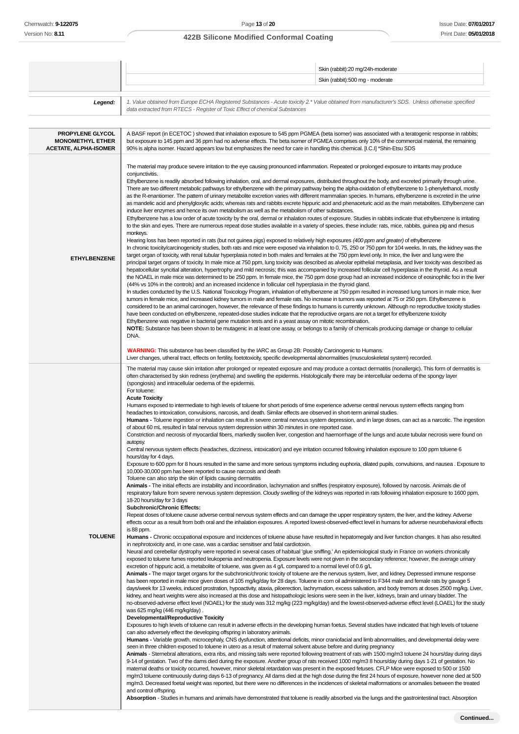|                                                                             | Skin (rabbit):20 mg/24h-moderate                                                                                                                                                                                                                                                                                                                                                                                                                                                                                                                                                                                                                                                                                                                                                                                                                                                                                                                                                                                                                                                                                                                                                                                                                                                                                                                                                                                                                                                                                                                                                                                                                                                                                                                                                                                                                                                                                                                                                                                                                                                                                                                                                                                                                                                                                                                                                                                                                                                                                                                                                                                                                                                                                                                                                                                                                                                                                                                                                                                                                                                                                                                                                                                                                                                                                                                                                                                                                                                                                                                                                                                                                                                                                                                                                                                                                                                                                                                                                                                                                                                                                                                                                                                                                                                                                                                                                                                                                                                                                                                                                                                                                                                                                                                                                                                                                                                                                                                                                                                                                                                                                                                                                                                                                                                            |
|-----------------------------------------------------------------------------|---------------------------------------------------------------------------------------------------------------------------------------------------------------------------------------------------------------------------------------------------------------------------------------------------------------------------------------------------------------------------------------------------------------------------------------------------------------------------------------------------------------------------------------------------------------------------------------------------------------------------------------------------------------------------------------------------------------------------------------------------------------------------------------------------------------------------------------------------------------------------------------------------------------------------------------------------------------------------------------------------------------------------------------------------------------------------------------------------------------------------------------------------------------------------------------------------------------------------------------------------------------------------------------------------------------------------------------------------------------------------------------------------------------------------------------------------------------------------------------------------------------------------------------------------------------------------------------------------------------------------------------------------------------------------------------------------------------------------------------------------------------------------------------------------------------------------------------------------------------------------------------------------------------------------------------------------------------------------------------------------------------------------------------------------------------------------------------------------------------------------------------------------------------------------------------------------------------------------------------------------------------------------------------------------------------------------------------------------------------------------------------------------------------------------------------------------------------------------------------------------------------------------------------------------------------------------------------------------------------------------------------------------------------------------------------------------------------------------------------------------------------------------------------------------------------------------------------------------------------------------------------------------------------------------------------------------------------------------------------------------------------------------------------------------------------------------------------------------------------------------------------------------------------------------------------------------------------------------------------------------------------------------------------------------------------------------------------------------------------------------------------------------------------------------------------------------------------------------------------------------------------------------------------------------------------------------------------------------------------------------------------------------------------------------------------------------------------------------------------------------------------------------------------------------------------------------------------------------------------------------------------------------------------------------------------------------------------------------------------------------------------------------------------------------------------------------------------------------------------------------------------------------------------------------------------------------------------------------------------------------------------------------------------------------------------------------------------------------------------------------------------------------------------------------------------------------------------------------------------------------------------------------------------------------------------------------------------------------------------------------------------------------------------------------------------------------------------------------------------------------------------------------------------------------------------------------------------------------------------------------------------------------------------------------------------------------------------------------------------------------------------------------------------------------------------------------------------------------------------------------------------------------------------------------------------------------------------------------------------------------------------------------------------------|
|                                                                             | Skin (rabbit):500 mg - moderate                                                                                                                                                                                                                                                                                                                                                                                                                                                                                                                                                                                                                                                                                                                                                                                                                                                                                                                                                                                                                                                                                                                                                                                                                                                                                                                                                                                                                                                                                                                                                                                                                                                                                                                                                                                                                                                                                                                                                                                                                                                                                                                                                                                                                                                                                                                                                                                                                                                                                                                                                                                                                                                                                                                                                                                                                                                                                                                                                                                                                                                                                                                                                                                                                                                                                                                                                                                                                                                                                                                                                                                                                                                                                                                                                                                                                                                                                                                                                                                                                                                                                                                                                                                                                                                                                                                                                                                                                                                                                                                                                                                                                                                                                                                                                                                                                                                                                                                                                                                                                                                                                                                                                                                                                                                             |
| Legend:                                                                     | 1. Value obtained from Europe ECHA Registered Substances - Acute toxicity 2.* Value obtained from manufacturer's SDS. Unless otherwise specified<br>data extracted from RTECS - Register of Toxic Effect of chemical Substances                                                                                                                                                                                                                                                                                                                                                                                                                                                                                                                                                                                                                                                                                                                                                                                                                                                                                                                                                                                                                                                                                                                                                                                                                                                                                                                                                                                                                                                                                                                                                                                                                                                                                                                                                                                                                                                                                                                                                                                                                                                                                                                                                                                                                                                                                                                                                                                                                                                                                                                                                                                                                                                                                                                                                                                                                                                                                                                                                                                                                                                                                                                                                                                                                                                                                                                                                                                                                                                                                                                                                                                                                                                                                                                                                                                                                                                                                                                                                                                                                                                                                                                                                                                                                                                                                                                                                                                                                                                                                                                                                                                                                                                                                                                                                                                                                                                                                                                                                                                                                                                             |
| PROPYLENE GLYCOL<br><b>MONOMETHYL ETHER</b><br><b>ACETATE, ALPHA-ISOMER</b> | A BASF report (in ECETOC) showed that inhalation exposure to 545 ppm PGMEA (beta isomer) was associated with a teratogenic response in rabbits;<br>but exposure to 145 ppm and 36 ppm had no adverse effects. The beta isomer of PGMEA comprises only 10% of the commercial material, the remaining<br>90% is alpha isomer. Hazard appears low but emphasizes the need for care in handling this chemical. [I.C.I] *Shin-Etsu SDS                                                                                                                                                                                                                                                                                                                                                                                                                                                                                                                                                                                                                                                                                                                                                                                                                                                                                                                                                                                                                                                                                                                                                                                                                                                                                                                                                                                                                                                                                                                                                                                                                                                                                                                                                                                                                                                                                                                                                                                                                                                                                                                                                                                                                                                                                                                                                                                                                                                                                                                                                                                                                                                                                                                                                                                                                                                                                                                                                                                                                                                                                                                                                                                                                                                                                                                                                                                                                                                                                                                                                                                                                                                                                                                                                                                                                                                                                                                                                                                                                                                                                                                                                                                                                                                                                                                                                                                                                                                                                                                                                                                                                                                                                                                                                                                                                                                           |
| <b>ETHYLBENZENE</b>                                                         | The material may produce severe irritation to the eye causing pronounced inflammation. Repeated or prolonged exposure to irritants may produce<br>conjunctivitis.<br>Ethylbenzene is readily absorbed following inhalation, oral, and dermal exposures, distributed throughout the body, and excreted primarily through urine.<br>There are two different metabolic pathways for ethylbenzene with the primary pathway being the alpha-oxidation of ethylbenzene to 1-phenylethanol, mostly<br>as the R-enantiomer. The pattern of urinary metabolite excretion varies with different mammalian species. In humans, ethylbenzene is excreted in the urine<br>as mandelic acid and phenylgloxylic acids; whereas rats and rabbits excrete hippuric acid and phenaceturic acid as the main metabolites. Ethylbenzene can<br>induce liver enzymes and hence its own metabolism as well as the metabolism of other substances.<br>Ethylbenzene has a low order of acute toxicity by the oral, dermal or inhalation routes of exposure. Studies in rabbits indicate that ethylbenzene is irritating<br>to the skin and eyes. There are numerous repeat dose studies available in a variety of species, these include: rats, mice, rabbits, guinea pig and rhesus<br>monkeys.<br>Hearing loss has been reported in rats (but not guinea pigs) exposed to relatively high exposures (400 ppm and greater) of ethylbenzene<br>In chronic toxicity/carcinogenicity studies, both rats and mice were exposed via inhalation to 0, 75, 250 or 750 ppm for 104 weeks. In rats, the kidney was the<br>target organ of toxicity, with renal tubular hyperplasia noted in both males and females at the 750 ppm level only. In mice, the liver and lung were the<br>principal target organs of toxicity. In male mice at 750 ppm, lung toxicity was described as alveolar epithelial metaplasia, and liver toxicity was described as<br>hepatocellular syncitial alteration, hypertrophy and mild necrosis; this was accompanied by increased follicular cell hyperplasia in the thyroid. As a result<br>the NOAEL in male mice was determined to be 250 ppm. In female mice, the 750 ppm dose group had an increased incidence of eosinophilic foci in the liver<br>(44% vs 10% in the controls) and an increased incidence in follicular cell hyperplasia in the thyroid gland.<br>In studies conducted by the U.S. National Toxicology Program, inhalation of ethylbenzene at 750 ppm resulted in increased lung tumors in male mice, liver<br>tumors in female mice, and increased kidney tumors in male and female rats. No increase in tumors was reported at 75 or 250 ppm. Ethylbenzene is<br>considered to be an animal carcinogen, however, the relevance of these findings to humans is currently unknown. Although no reproductive toxicity studies<br>have been conducted on ethylbenzene, repeated-dose studies indicate that the reproductive organs are not a target for ethylbenzene toxicity<br>Ethylbenzene was negative in bacterial gene mutation tests and in a yeast assay on mitotic recombination.<br>NOTE: Substance has been shown to be mutagenic in at least one assay, or belongs to a family of chemicals producing damage or change to cellular<br>DNA.                                                                                                                                                                                                                                                                                                                                                                                                                                                                                                                                                                                                                                                                                                                                                                                                                                                                                                                                                                                                                                                                                                                                                                                                                                                                                                                                                                                                                                                                                                                                                                                                                                                                                                                                                                                                                                                                                                                                                                                                                    |
|                                                                             | <b>WARNING:</b> This substance has been classified by the IARC as Group 2B: Possibly Carcinogenic to Humans.<br>Liver changes, utheral tract, effects on fertility, foetotoxicity, specific developmental abnormalities (musculoskeletal system) recorded.<br>The material may cause skin irritation after prolonged or repeated exposure and may produce a contact dermatitis (nonallergic). This form of dermatitis is                                                                                                                                                                                                                                                                                                                                                                                                                                                                                                                                                                                                                                                                                                                                                                                                                                                                                                                                                                                                                                                                                                                                                                                                                                                                                                                                                                                                                                                                                                                                                                                                                                                                                                                                                                                                                                                                                                                                                                                                                                                                                                                                                                                                                                                                                                                                                                                                                                                                                                                                                                                                                                                                                                                                                                                                                                                                                                                                                                                                                                                                                                                                                                                                                                                                                                                                                                                                                                                                                                                                                                                                                                                                                                                                                                                                                                                                                                                                                                                                                                                                                                                                                                                                                                                                                                                                                                                                                                                                                                                                                                                                                                                                                                                                                                                                                                                                    |
| <b>TOLUENE</b>                                                              | often characterised by skin redness (erythema) and swelling the epidermis. Histologically there may be intercellular oedema of the spongy layer<br>(spongiosis) and intracellular oedema of the epidermis.<br>For toluene:<br><b>Acute Toxicity</b><br>Humans exposed to intermediate to high levels of toluene for short periods of time experience adverse central nervous system effects ranging from<br>headaches to intoxication, convulsions, narcosis, and death. Similar effects are observed in short-term animal studies.<br>Humans - Toluene ingestion or inhalation can result in severe central nervous system depression, and in large doses, can act as a narcotic. The ingestion<br>of about 60 mL resulted in fatal nervous system depression within 30 minutes in one reported case.<br>Constriction and necrosis of myocardial fibers, markedly swollen liver, congestion and haemorrhage of the lungs and acute tubular necrosis were found on<br>autopsy.<br>Central nervous system effects (headaches, dizziness, intoxication) and eye irritation occurred following inhalation exposure to 100 ppm toluene 6<br>hours/day for 4 days.<br>Exposure to 600 ppm for 8 hours resulted in the same and more serious symptoms including euphoria, dilated pupils, convulsions, and nausea. Exposure to<br>10,000-30,000 ppm has been reported to cause narcosis and death<br>Toluene can also strip the skin of lipids causing dermatitis<br>Animals - The initial effects are instability and incoordination, lachrymation and sniffles (respiratory exposure), followed by narcosis. Animals die of<br>respiratory failure from severe nervous system depression. Cloudy swelling of the kidneys was reported in rats following inhalation exposure to 1600 ppm,<br>18-20 hours/day for 3 days<br><b>Subchronic/Chronic Effects:</b><br>Repeat doses of toluene cause adverse central nervous system effects and can damage the upper respiratory system, the liver, and the kidney. Adverse<br>effects occur as a result from both oral and the inhalation exposures. A reported lowest-observed-effect level in humans for adverse neurobehavioral effects<br>is 88 ppm.<br>Humans - Chronic occupational exposure and incidences of toluene abuse have resulted in hepatomegaly and liver function changes. It has also resulted<br>in nephrotoxicity and, in one case, was a cardiac sensitiser and fatal cardiotoxin.<br>Neural and cerebellar dystrophy were reported in several cases of habitual 'glue sniffing.' An epidemiological study in France on workers chronically<br>exposed to toluene fumes reported leukopenia and neutropenia. Exposure levels were not given in the secondary reference; however, the average urinary<br>excretion of hippuric acid, a metabolite of toluene, was given as 4 $g/L$ compared to a normal level of 0.6 $g/L$<br>Animals - The major target organs for the subchronic/chronic toxicity of toluene are the nervous system, liver, and kidney. Depressed immune response<br>has been reported in male mice given doses of 105 mg/kg/day for 28 days. Toluene in corn oil administered to F344 male and female rats by gavage 5<br>days/week for 13 weeks, induced prostration, hypoactivity, ataxia, piloerection, lachrymation, excess salivation, and body tremors at doses 2500 mg/kg. Liver,<br>kidney, and heart weights were also increased at this dose and histopathologic lesions were seen in the liver, kidneys, brain and urinary bladder. The<br>no-observed-adverse effect level (NOAEL) for the study was 312 mg/kg (223 mg/kg/day) and the lowest-observed-adverse effect level (LOAEL) for the study<br>was 625 mg/kg (446 mg/kg/day).<br>Developmental/Reproductive Toxicity<br>Exposures to high levels of toluene can result in adverse effects in the developing human foetus. Several studies have indicated that high levels of toluene<br>can also adversely effect the developing offspring in laboratory animals.<br>Humans - Variable growth, microcephaly, CNS dysfunction, attentional deficits, minor craniofacial and limb abnormalities, and developmental delay were<br>seen in three children exposed to toluene in utero as a result of maternal solvent abuse before and during pregnancy<br>Animals - Sternebral alterations, extra ribs, and missing tails were reported following treatment of rats with 1500 mg/m3 toluene 24 hours/day during days<br>9-14 of gestation. Two of the dams died during the exposure. Another group of rats received 1000 mg/m3 8 hours/day during days 1-21 of gestation. No<br>maternal deaths or toxicity occurred, however, minor skeletal retardation was present in the exposed fetuses. CFLP Mice were exposed to 500 or 1500<br>mg/m3 toluene continuously during days 6-13 of pregnancy. All dams died at the high dose during the first 24 hours of exposure, however none died at 500<br>mg/m3. Decreased foetal weight was reported, but there were no differences in the incidences of skeletal malformations or anomalies between the treated<br>and control offspring.<br>Absorption - Studies in humans and animals have demonstrated that toluene is readily absorbed via the lungs and the gastrointestinal tract. Absorption |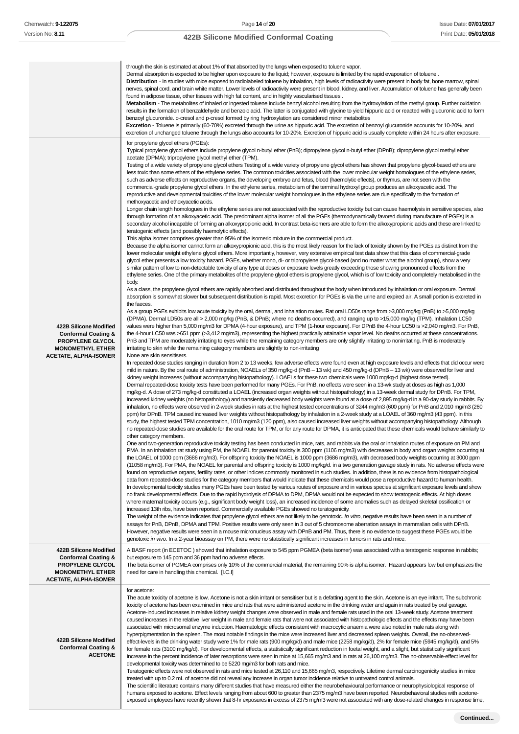|                                                                                                                                         | through the skin is estimated at about 1% of that absorbed by the lungs when exposed to toluene vapor.<br>Dermal absorption is expected to be higher upon exposure to the liquid; however, exposure is limited by the rapid evaporation of toluene.<br>Distribution - In studies with mice exposed to radiolabeled toluene by inhalation, high levels of radioactivity were present in body fat, bone marrow, spinal<br>nerves, spinal cord, and brain white matter. Lower levels of radioactivity were present in blood, kidney, and liver. Accumulation of toluene has generally been<br>found in adipose tissue, other tissues with high fat content, and in highly vascularised tissues.<br>Metabolism - The metabolites of inhaled or ingested toluene include benzyl alcohol resulting from the hydroxylation of the methyl group. Further oxidation<br>results in the formation of benzaldehyde and benzoic acid. The latter is conjugated with glycine to yield hippuric acid or reacted with glucuronic acid to form<br>benzoyl glucuronide. o-cresol and p-cresol formed by ring hydroxylation are considered minor metabolites<br><b>Excretion -</b> Toluene is primarily (60-70%) excreted through the urine as hippuric acid. The excretion of benzoyl glucuronide accounts for 10-20%, and<br>excretion of unchanged toluene through the lungs also accounts for 10-20%. Excretion of hippuric acid is usually complete within 24 hours after exposure.                                                                                                                                                                                                                                                                                                                                                                                                                                                                                                                                                                                                                                                                                                                                                                                                                                                                                                                                                                                                                                                                                                                                                                                                                                                                                                                                                                                                                                                                                                                                                                                                                                                                                                                                                                                                                                                                                                                                                                                                                                                                                                                                                                                                                                                                                                                                                                                                                                                                                                                                                                                                                                                                                                                                                                                                                                                                                                                                                                                                                                                                                                                                                                                                                                                                                                                                                                                                                                                                                                                                                                                                                                                                                                                                                                                                                                                                                                                                                                                                                                                                                                                                                                                                                                                                                                                                                                                                                                                                                                                                                                                                                                                                                                                                                                                                                                                                                                                                                                                                                                                                                                                                                                                                                                                                                                                                                                                                                                                                                                                                                                                                                                                                                                                                                                                                                                                                                                                                                          |
|-----------------------------------------------------------------------------------------------------------------------------------------|--------------------------------------------------------------------------------------------------------------------------------------------------------------------------------------------------------------------------------------------------------------------------------------------------------------------------------------------------------------------------------------------------------------------------------------------------------------------------------------------------------------------------------------------------------------------------------------------------------------------------------------------------------------------------------------------------------------------------------------------------------------------------------------------------------------------------------------------------------------------------------------------------------------------------------------------------------------------------------------------------------------------------------------------------------------------------------------------------------------------------------------------------------------------------------------------------------------------------------------------------------------------------------------------------------------------------------------------------------------------------------------------------------------------------------------------------------------------------------------------------------------------------------------------------------------------------------------------------------------------------------------------------------------------------------------------------------------------------------------------------------------------------------------------------------------------------------------------------------------------------------------------------------------------------------------------------------------------------------------------------------------------------------------------------------------------------------------------------------------------------------------------------------------------------------------------------------------------------------------------------------------------------------------------------------------------------------------------------------------------------------------------------------------------------------------------------------------------------------------------------------------------------------------------------------------------------------------------------------------------------------------------------------------------------------------------------------------------------------------------------------------------------------------------------------------------------------------------------------------------------------------------------------------------------------------------------------------------------------------------------------------------------------------------------------------------------------------------------------------------------------------------------------------------------------------------------------------------------------------------------------------------------------------------------------------------------------------------------------------------------------------------------------------------------------------------------------------------------------------------------------------------------------------------------------------------------------------------------------------------------------------------------------------------------------------------------------------------------------------------------------------------------------------------------------------------------------------------------------------------------------------------------------------------------------------------------------------------------------------------------------------------------------------------------------------------------------------------------------------------------------------------------------------------------------------------------------------------------------------------------------------------------------------------------------------------------------------------------------------------------------------------------------------------------------------------------------------------------------------------------------------------------------------------------------------------------------------------------------------------------------------------------------------------------------------------------------------------------------------------------------------------------------------------------------------------------------------------------------------------------------------------------------------------------------------------------------------------------------------------------------------------------------------------------------------------------------------------------------------------------------------------------------------------------------------------------------------------------------------------------------------------------------------------------------------------------------------------------------------------------------------------------------------------------------------------------------------------------------------------------------------------------------------------------------------------------------------------------------------------------------------------------------------------------------------------------------------------------------------------------------------------------------------------------------------------------------------------------------------------------------------------------------------------------------------------------------------------------------------------------------------------------------------------------------------------------------------------------------------------------------------------------------------------------------------------------------------------------------------------------------------------------------------------------------------------------------------------------------------------------------------------------------------------------------------------------------------------------------------------------------------------------------------------------------------------------------------------------------------------------------------------------------------------------------------------------------------------------------------------------------------------------------------------------------------------------------------------------------------------------------------------------------------------------------------------------------------------------------------------------------------------------------------------------------------------------------------------------------------------------------------------------------------------------------------------------------------------------------------------------------------------------------------------------------------------------------------------------------------------------------------------------------------------------------|
| 422B Silicone Modified<br><b>Conformal Coating &amp;</b><br>PROPYLENE GLYCOL<br><b>MONOMETHYL ETHER</b><br><b>ACETATE, ALPHA-ISOMER</b> | for propylene glycol ethers (PGEs):<br>Typical propylene glycol ethers include propylene glycol n-butyl ether (PnB); dipropylene glycol n-butyl ether (DPnB); dipropylene glycol methyl ether<br>acetate (DPMA); tripropylene glycol methyl ether (TPM).<br>Testing of a wide variety of propylene glycol ethers Testing of a wide variety of propylene glycol ethers has shown that propylene glycol-based ethers are<br>less toxic than some ethers of the ethylene series. The common toxicities associated with the lower molecular weight homologues of the ethylene series,<br>such as adverse effects on reproductive organs, the developing embryo and fetus, blood (haemolytic effects), or thymus, are not seen with the<br>commercial-grade propylene glycol ethers. In the ethylene series, metabolism of the terminal hydroxyl group produces an alkoxyacetic acid. The<br>reproductive and developmental toxicities of the lower molecular weight homologues in the ethylene series are due specifically to the formation of<br>methoxyacetic and ethoxyacetic acids.<br>Longer chain length homologues in the ethylene series are not associated with the reproductive toxicity but can cause haemolysis in sensitive species, also<br>through formation of an alkoxyacetic acid. The predominant alpha isomer of all the PGEs (thermodynamically favored during manufacture of PGEs) is a<br>secondary alcohol incapable of forming an alkoxypropionic acid. In contrast beta-isomers are able to form the alkoxypropionic acids and these are linked to<br>teratogenic effects (and possibly haemolytic effects).<br>This alpha isomer comprises greater than 95% of the isomeric mixture in the commercial product.<br>Because the alpha isomer cannot form an alkoxypropionic acid, this is the most likely reason for the lack of toxicity shown by the PGEs as distinct from the<br>lower molecular weight ethylene glycol ethers. More importantly, however, very extensive empirical test data show that this class of commercial-grade<br>glycol ether presents a low toxicity hazard. PGEs, whether mono, di- or tripropylene glycol-based (and no matter what the alcohol group), show a very<br>similar pattern of low to non-detectable toxicity of any type at doses or exposure levels greatly exceeding those showing pronounced effects from the<br>ethylene series. One of the primary metabolites of the propylene glycol ethers is propylene glycol, which is of low toxicity and completely metabolised in the<br>body.<br>As a class, the propylene glycol ethers are rapidly absorbed and distributed throughout the body when introduced by inhalation or oral exposure. Dermal<br>absorption is somewhat slower but subsequent distribution is rapid. Most excretion for PGEs is via the urine and expired air. A small portion is excreted in<br>the faeces.<br>As a group PGEs exhibits low acute toxicity by the oral, dermal, and inhalation routes. Rat oral LD50s range from >3,000 mg/kg (PnB) to >5,000 mg/kg<br>(DPMA). Dermal LD50s are all > 2,000 mg/kg (PnB, & DPnB; where no deaths occurred), and ranging up to >15,000 mg/kg (TPM). Inhalation LC50<br>values were higher than 5,000 mg/m3 for DPMA (4-hour exposure), and TPM (1-hour exposure). For DPnB the 4-hour LC50 is >2,040 mg/m3. For PnB,<br>the 4-hour LC50 was >651 ppm (>3,412 mg/m3), representing the highest practically attainable vapor level. No deaths occurred at these concentrations.<br>PnB and TPM are moderately irritating to eyes while the remaining category members are only slightly irritating to nonirritating. PnB is moderately<br>irritating to skin while the remaining category members are slightly to non-irritating<br>None are skin sensitisers.<br>In repeated dose studies ranging in duration from 2 to 13 weeks, few adverse effects were found even at high exposure levels and effects that did occur were<br>mild in nature. By the oral route of administration, NOAELs of 350 mg/kg-d (PnB - 13 wk) and 450 mg/kg-d (DPnB - 13 wk) were observed for liver and<br>kidney weight increases (without accompanying histopathology). LOAELs for these two chemicals were 1000 mg/kg-d (highest dose tested).<br>Dermal repeated-dose toxicity tests have been performed for many PGEs. For PnB, no effects were seen in a 13-wk study at doses as high as 1,000<br>mg/kg-d. A dose of 273 mg/kg-d constituted a LOAEL (increased organ weights without histopathology) in a 13-week dermal study for DPnB. For TPM,<br>increased kidney weights (no histopathology) and transiently decreased body weights were found at a dose of 2,895 mg/kg-d in a 90-day study in rabbits. By<br>inhalation, no effects were observed in 2-week studies in rats at the highest tested concentrations of 3244 mg/m3 (600 ppm) for PnB and 2,010 mg/m3 (260<br>ppm) for DPnB. TPM caused increased liver weights without histopathology by inhalation in a 2-week study at a LOAEL of 360 mg/m3 (43 ppm). In this<br>study, the highest tested TPM concentration, 1010 mg/m3 (120 ppm), also caused increased liver weights without accompanying histopathology. Although<br>no repeated-dose studies are available for the oral route for TPM, or for any route for DPMA, it is anticipated that these chemicals would behave similarly to<br>other category members.<br>One and two-generation reproductive toxicity testing has been conducted in mice, rats, and rabbits via the oral or inhalation routes of exposure on PM and<br>PMA. In an inhalation rat study using PM, the NOAEL for parental toxicity is 300 ppm (1106 mg/m3) with decreases in body and organ weights occurring at<br>the LOAEL of 1000 ppm (3686 mg/m3). For offspring toxicity the NOAEL is 1000 ppm (3686 mg/m3), with decreased body weights occurring at 3000 ppm<br>(11058 mg/m3). For PMA, the NOAEL for parental and offspring toxicity is 1000 mg/kg/d. in a two generation gavage study in rats. No adverse effects were<br>found on reproductive organs, fertility rates, or other indices commonly monitored in such studies. In addition, there is no evidence from histopathological<br>data from repeated-dose studies for the category members that would indicate that these chemicals would pose a reproductive hazard to human health.<br>In developmental toxicity studies many PGEs have been tested by various routes of exposure and in various species at significant exposure levels and show<br>no frank developmental effects. Due to the rapid hydrolysis of DPMA to DPM, DPMA would not be expected to show teratogenic effects. At high doses<br>where maternal toxicity occurs (e.g., significant body weight loss), an increased incidence of some anomalies such as delayed skeletal ossification or<br>increased 13th ribs, have been reported. Commercially available PGEs showed no teratogenicity.<br>The weight of the evidence indicates that propylene glycol ethers are not likely to be genotoxic. In vitro, negative results have been seen in a number of<br>assays for PnB, DPnB, DPMA and TPM. Positive results were only seen in 3 out of 5 chromosome aberration assays in mammalian cells with DPnB.<br>However, negative results were seen in a mouse micronucleus assay with DPnB and PM. Thus, there is no evidence to suggest these PGEs would be |
| 422B Silicone Modified<br><b>Conformal Coating &amp;</b><br>PROPYLENE GLYCOL<br><b>MONOMETHYL ETHER</b><br><b>ACETATE, ALPHA-ISOMER</b> | genotoxic in vivo. In a 2-year bioassay on PM, there were no statistically significant increases in tumors in rats and mice.<br>A BASF report (in ECETOC) showed that inhalation exposure to 545 ppm PGMEA (beta isomer) was associated with a teratogenic response in rabbits;<br>but exposure to 145 ppm and 36 ppm had no adverse effects.<br>The beta isomer of PGMEA comprises only 10% of the commercial material, the remaining 90% is alpha isomer. Hazard appears low but emphasizes the<br>need for care in handling this chemical. [I.C.I]                                                                                                                                                                                                                                                                                                                                                                                                                                                                                                                                                                                                                                                                                                                                                                                                                                                                                                                                                                                                                                                                                                                                                                                                                                                                                                                                                                                                                                                                                                                                                                                                                                                                                                                                                                                                                                                                                                                                                                                                                                                                                                                                                                                                                                                                                                                                                                                                                                                                                                                                                                                                                                                                                                                                                                                                                                                                                                                                                                                                                                                                                                                                                                                                                                                                                                                                                                                                                                                                                                                                                                                                                                                                                                                                                                                                                                                                                                                                                                                                                                                                                                                                                                                                                                                                                                                                                                                                                                                                                                                                                                                                                                                                                                                                                                                                                                                                                                                                                                                                                                                                                                                                                                                                                                                                                                                                                                                                                                                                                                                                                                                                                                                                                                                                                                                                                                                                                                                                                                                                                                                                                                                                                                                                                                                                                                                                                                                                                                                                                                                                                                                                                                                                                                                                                                                                                                                                          |
| 422B Silicone Modified<br><b>Conformal Coating &amp;</b><br><b>ACETONE</b>                                                              | for acetone:<br>The acute toxicity of acetone is low. Acetone is not a skin irritant or sensitiser but is a defatting agent to the skin. Acetone is an eye irritant. The subchronic<br>toxicity of acetone has been examined in mice and rats that were administered acetone in the drinking water and again in rats treated by oral gavage.<br>Acetone-induced increases in relative kidney weight changes were observed in male and female rats used in the oral 13-week study. Acetone treatment<br>caused increases in the relative liver weight in male and female rats that were not associated with histopathologic effects and the effects may have been<br>associated with microsomal enzyme induction. Haematologic effects consistent with macrocytic anaemia were also noted in male rats along with<br>hyperpigmentation in the spleen. The most notable findings in the mice were increased liver and decreased spleen weights. Overall, the no-observed-<br>effect-levels in the drinking water study were 1% for male rats (900 mg/kg/d) and male mice (2258 mg/kg/d), 2% for female mice (5945 mg/kg/d), and 5%<br>for female rats (3100 mg/kg/d). For developmental effects, a statistically significant reduction in foetal weight, and a slight, but statistically significant<br>increase in the percent incidence of later resorptions were seen in mice at 15,665 mg/m3 and in rats at 26,100 mg/m3. The no-observable-effect level for<br>developmental toxicity was determined to be 5220 mg/m3 for both rats and mice.<br>Teratogenic effects were not observed in rats and mice tested at 26,110 and 15,665 mg/m3, respectively. Lifetime dermal carcinogenicity studies in mice<br>treated with up to 0.2 mL of acetone did not reveal any increase in organ tumor incidence relative to untreated control animals.<br>The scientific literature contains many different studies that have measured either the neurobehavioural performance or neurophysiological response of<br>humans exposed to acetone. Effect levels ranging from about 600 to greater than 2375 mg/m3 have been reported. Neurobehavioral studies with acetone-<br>exposed employees have recently shown that 8-hr exposures in excess of 2375 mg/m3 were not associated with any dose-related changes in response time,                                                                                                                                                                                                                                                                                                                                                                                                                                                                                                                                                                                                                                                                                                                                                                                                                                                                                                                                                                                                                                                                                                                                                                                                                                                                                                                                                                                                                                                                                                                                                                                                                                                                                                                                                                                                                                                                                                                                                                                                                                                                                                                                                                                                                                                                                                                                                                                                                                                                                                                                                                                                                                                                                                                                                                                                                                                                                                                                                                                                                                                                                                                                                                                                                                                                                                                                                                                                                                                                                                                                                                                                                                                                                                                                                                                                                                                                                                                                                                                                                                                                                                                                                                                                                                                                                                                                                                                                                                                                                                                                                                                                                                                                                                                                                                                                                                                                                                                                                                                                                                                                                                     |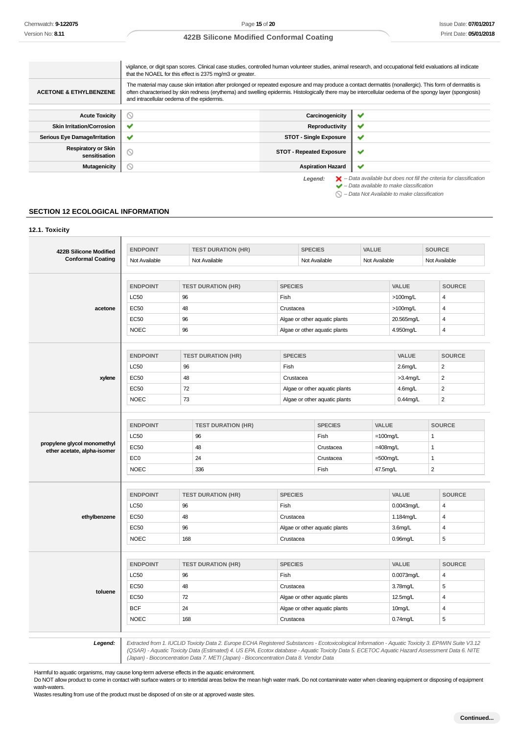**12.1. Toxicity**

 $\bigcirc$  – Data Not Available to make classification

# **422B Silicone Modified Conformal Coating**

|                                             | vigilance, or digit span scores. Clinical case studies, controlled human volunteer studies, animal research, and occupational field evaluations all indicate<br>that the NOAEL for this effect is 2375 mg/m3 or greater.                                                                                                                                             |                                 |                                                                                                                                                           |
|---------------------------------------------|----------------------------------------------------------------------------------------------------------------------------------------------------------------------------------------------------------------------------------------------------------------------------------------------------------------------------------------------------------------------|---------------------------------|-----------------------------------------------------------------------------------------------------------------------------------------------------------|
| <b>ACETONE &amp; ETHYLBENZENE</b>           | The material may cause skin irritation after prolonged or repeated exposure and may produce a contact dermatitis (nonallergic). This form of dermatitis is<br>often characterised by skin redness (erythema) and swelling epidermis. Histologically there may be intercellular oedema of the spongy layer (spongiosis)<br>and intracellular oedema of the epidermis. |                                 |                                                                                                                                                           |
| <b>Acute Toxicity</b>                       | ∾                                                                                                                                                                                                                                                                                                                                                                    | Carcinogenicity                 |                                                                                                                                                           |
| <b>Skin Irritation/Corrosion</b>            | $\checkmark$                                                                                                                                                                                                                                                                                                                                                         | Reproductivity                  | ັ                                                                                                                                                         |
| Serious Eye Damage/Irritation               | $\checkmark$                                                                                                                                                                                                                                                                                                                                                         | <b>STOT - Single Exposure</b>   | ັ                                                                                                                                                         |
| <b>Respiratory or Skin</b><br>sensitisation | $\odot$                                                                                                                                                                                                                                                                                                                                                              | <b>STOT - Repeated Exposure</b> | ັ                                                                                                                                                         |
| <b>Mutagenicity</b>                         | $\circledcirc$                                                                                                                                                                                                                                                                                                                                                       | <b>Aspiration Hazard</b>        | ັ                                                                                                                                                         |
|                                             |                                                                                                                                                                                                                                                                                                                                                                      | Legend:                         | $\blacktriangleright$ - Data available but does not fill the criteria for classification<br>$\blacktriangleright$ - Data available to make classification |

**SECTION 12 ECOLOGICAL INFORMATION**

# **422B Silicone Modified Conformal Coating ENDPOINT TEST DURATION (HR) SPECIES VALUE SOURCE** Not Available Not Available Not Available Not Available Not Available Not Available Not Available **acetone ENDPOINT TEST DURATION (HR) SPECIES VALUE SOURCE**  $\begin{array}{|c|c|c|c|c|}\n \hline\n \text{LCS0} & & \text{96} & \text{Fish} & & \text{100mg/L} & & \text{4} \\
\hline\n \end{array}$  $EC50$   $48$   $Crustacea$   $100mgl$   $100mgl$ EC50 96 96 Algae or other aquatic plants 20.565mg/L 4 NOEC 96 Algae or other aquatic plants 4.950mg/L 4 **xylene ENDPOINT TEST DURATION (HR) SPECIES VALUE SOURCE**  $\begin{array}{|c|c|c|c|c|}\n \hline\n \text{LC50} & & \text{96} & \text{Fish} & & \text{2.6mg/L} & \text{2.2cm} \end{array}$  $EC50$   $48$   $22$ EC50 72 Algae or other aquatic plants 4.6mg/L 2 NOEC 73 Algae or other aquatic plants 0.44mg/L 2 **propylene glycol monomethyl ether acetate, alpha-isomer ENDPOINT TEST DURATION (HR) SPECIES VALUE SOURCE**  $\sim$   $\sim$   $\sim$  96  $\sim$  96  $\sim$  Fish  $\sim$  100mg/L 1  $EC50$   $48$   $48$  Crustacea  $=408$ mg/L 1  $EC0$  24 24 Crustacea = 500mg/L 1  $NOEC$   $336$   $12$

|              | <b>ENDPOINT</b> | <b>TEST DURATION (HR)</b><br><b>SPECIES</b><br><b>VALUE</b><br><b>SOURCE</b><br>96<br>Fish<br>0.0043mg/L<br>$\overline{4}$<br>48<br>1.184mg/L<br>Crustacea<br>4<br>96<br>Algae or other aquatic plants<br>3.6mg/L<br>4<br>168<br>$0.96$ mg/L<br>5<br>Crustacea<br><b>SPECIES</b><br><b>SOURCE</b><br><b>TEST DURATION (HR)</b><br><b>VALUE</b><br>96<br>Fish<br>0.0073mg/L<br>4<br>48<br>5<br>3.78mg/L<br>Crustacea<br>72<br>Algae or other aquatic plants<br>12.5mg/L<br>4<br>24<br>Algae or other aquatic plants<br>10mg/L<br>4<br>168<br>5<br>$0.74$ mg/L<br>Crustacea |  |  |
|--------------|-----------------|---------------------------------------------------------------------------------------------------------------------------------------------------------------------------------------------------------------------------------------------------------------------------------------------------------------------------------------------------------------------------------------------------------------------------------------------------------------------------------------------------------------------------------------------------------------------------|--|--|
|              | <b>LC50</b>     |                                                                                                                                                                                                                                                                                                                                                                                                                                                                                                                                                                           |  |  |
| ethylbenzene | <b>EC50</b>     |                                                                                                                                                                                                                                                                                                                                                                                                                                                                                                                                                                           |  |  |
|              | <b>EC50</b>     |                                                                                                                                                                                                                                                                                                                                                                                                                                                                                                                                                                           |  |  |
|              | <b>NOEC</b>     |                                                                                                                                                                                                                                                                                                                                                                                                                                                                                                                                                                           |  |  |
|              |                 |                                                                                                                                                                                                                                                                                                                                                                                                                                                                                                                                                                           |  |  |
|              | <b>ENDPOINT</b> |                                                                                                                                                                                                                                                                                                                                                                                                                                                                                                                                                                           |  |  |
|              | <b>LC50</b>     |                                                                                                                                                                                                                                                                                                                                                                                                                                                                                                                                                                           |  |  |
|              | <b>EC50</b>     |                                                                                                                                                                                                                                                                                                                                                                                                                                                                                                                                                                           |  |  |
| toluene      | <b>EC50</b>     |                                                                                                                                                                                                                                                                                                                                                                                                                                                                                                                                                                           |  |  |
|              | <b>BCF</b>      |                                                                                                                                                                                                                                                                                                                                                                                                                                                                                                                                                                           |  |  |
|              | <b>NOEC</b>     |                                                                                                                                                                                                                                                                                                                                                                                                                                                                                                                                                                           |  |  |
|              |                 |                                                                                                                                                                                                                                                                                                                                                                                                                                                                                                                                                                           |  |  |
|              |                 |                                                                                                                                                                                                                                                                                                                                                                                                                                                                                                                                                                           |  |  |

**Legend:** Extracted from 1. IUCLID Toxicity Data 2. Europe ECHA Registered Substances - Ecotoxicological Information - Aquatic Toxicity 3. EPIWIN Suite V3.12 (QSAR) - Aquatic Toxicity Data (Estimated) 4. US EPA, Ecotox database - Aquatic Toxicity Data 5. ECETOC Aquatic Hazard Assessment Data 6. NITE (Japan) - Bioconcentration Data 7. METI (Japan) - Bioconcentration Data 8. Vendor Data

Harmful to aquatic organisms, may cause long-term adverse effects in the aquatic environment.

Do NOT allow product to come in contact with surface waters or to intertidal areas below the mean high water mark. Do not contaminate water when cleaning equipment or disposing of equipment wash-waters.

Wastes resulting from use of the product must be disposed of on site or at approved waste sites.

 $\overline{\phantom{a}}$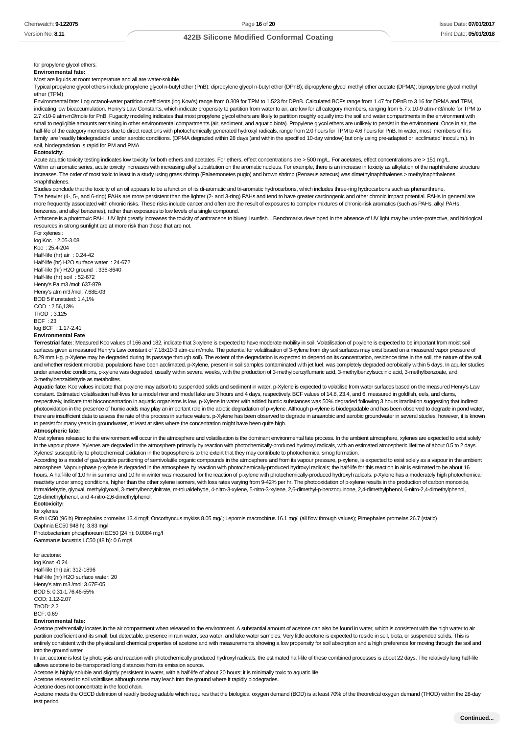#### for propylene glycol ethers: **Environmental fate:**

Most are liquids at room temperature and all are water-soluble.

Typical propylene glycol ethers include propylene glycol n-butyl ether (PnB); dipropylene glycol n-butyl ether (DPnB); dipropylene glycol methyl ether acetate (DPMA); tripropylene glycol methyl ether (TPM)

Environmental fate: Log octanol-water partition coefficients (log Kow's) range from 0.309 for TPM to 1.523 for DPnB. Calculated BCFs range from 1.47 for DPnB to 3.16 for DPMA and TPM, indicating low bioaccumulation. Henry's Law Constants, which indicate propensity to partition from water to air, are low for all category members, ranging from 5.7 x 10-9 atm-m3/mole for TPM to 2.7 x10-9 atm-m3/mole for PnB. Fugacity modeling indicates that most propylene glycol ethers are likely to partition roughly equally into the soil and water compartments in the environment with small to negligible amounts remaining in other environmental compartments (air, sediment, and aquatic biota). Propylene glycol ethers are unlikely to persist in the environment. Once in air, the half-life of the category members due to direct reactions with photochemically generated hydroxyl radicals, range from 2.0 hours for TPM to 4.6 hours for PnB. In water, most members of this family are 'readily biodegradable' under aerobic conditions. (DPMA degraded within 28 days (and within the specified 10-day window) but only using pre-adapted or 'acclimated' inoculum.). In soil, biodegradation is rapid for PM and PMA.

#### **Ecotoxicity:**

Acute aquatic toxicity testing indicates low toxicity for both ethers and acetates. For ethers, effect concentrations are > 500 mg/L. For acetates, effect concentrations are > 151 mg/L. Within an aromatic series, acute toxicity increases with increasing alkyl substitution on the aromatic nucleus. For example, there is an increase in toxicity as alkylation of the naphthalene structure increases. The order of most toxic to least in a study using grass shrimp (Palaemonetes pugio) and brown shrimp (Penaeus aztecus) was dimethylnaphthalenes > methylnaphthalenes >naphthalenes.

Studies conclude that the toxicity of an oil appears to be a function of its di-aromatic and tri-aromatic hydrocarbons, which includes three-ring hydrocarbons such as phenanthrene. The heavier (4-, 5-, and 6-ring) PAHs are more persistent than the lighter (2- and 3-ring) PAHs and tend to have greater carcinogenic and other chronic impact potential. PAHs in general are more frequently associated with chronic risks. These risks include cancer and often are the result of exposures to complex mixtures of chronic-risk aromatics (such as PAHs, alkyl PAHs, benzenes, and alkyl benzenes), rather than exposures to low levels of a single compound.

Anthrcene is a phototoxic PAH . UV light greatly increases the toxicity of anthracene to bluegill sunfish. . Benchmarks developed in the absence of UV light may be under-protective, and biological resources in strong sunlight are at more risk than those that are not.

For xylenes : log Koc : 2.05-3.08 Koc : 25.4-204 Half-life (hr) air : 0.24-42 Half-life (hr) H2O surface water : 24-672 Half-life (hr) H2O ground : 336-8640 Half-life (hr) soil : 52-672 Henry's Pa m3 /mol: 637-879 Henry's atm m3 /mol: 7.68E-03 BOD 5 if unstated: 1.4,1% COD : 2.56,13% ThOD : 3.125 BCF : 23 log BCF : 1.17-2.41 **Environmental Fate**

Terrestrial fate:: Measured Koc values of 166 and 182, indicate that 3-xylene is expected to have moderate mobility in soil. Volatilisation of p-xylene is expected to be important from moist soil surfaces given a measured Henry's Law constant of 7.18x10-3 atm-cu m/mole. The potential for volatilisation of 3-xylene from dry soil surfaces may exist based on a measured vapor pressure of 8.29 mm Hg. p-Xylene may be degraded during its passage through soil). The extent of the degradation is expected to depend on its concentration, residence time in the soil, the nature of the soil, and whether resident microbial populations have been acclimated. p-Xylene, present in soil samples contaminated with jet fuel, was completely degraded aerobically within 5 days. In aquifer studies under anaerobic conditions, p-xylene was degraded, usually within several weeks, with the production of 3-methylbenzylfumaric acid, 3-methylbenzylsuccinic acid, 3-methylbenzoate, and 3-methylbenzaldehyde as metabolites.

Aquatic fate: Koc values indicate that p-xylene may adsorb to suspended solids and sediment in water. p-Xylene is expected to volatilise from water surfaces based on the measured Henry's Law constant. Estimated volatilisation half-lives for a model river and model lake are 3 hours and 4 days, respectively. BCF values of 14.8, 23.4, and 6, measured in goldfish, eels, and clams, respectively, indicate that bioconcentration in aquatic organisms is low. p-Xylene in water with added humic substances was 50% degraded following 3 hours irradiation suggesting that indirect photooxidation in the presence of humic acids may play an important role in the abiotic degradation of p-xylene. Although p-xylene is biodegradable and has been observed to degrade in pond water, there are insufficient data to assess the rate of this process in surface waters. p-Xylene has been observed to degrade in anaerobic and aerobic groundwater in several studies; however, it is known to persist for many years in groundwater, at least at sites where the concentration might have been quite high.

#### **Atmospheric fate:**

Most xylenes released to the environment will occur in the atmosphere and volatilisation is the dominant environmental fate process. In the ambient atmosphere, xylenes are expected to exist solely in the vapour phase. Xylenes are degraded in the atmosphere primarily by reaction with photochemically-produced hydroxyl radicals, with an estimated atmospheric lifetime of about 0.5 to 2 days. Xylenes' susceptibility to photochemical oxidation in the troposphere is to the extent that they may contribute to photochemical smog formation.

According to a model of gas/particle partitioning of semivolatile organic compounds in the atmosphere and from its vapour pressure, p-xylene, is expected to exist solely as a vapour in the ambient atmosphere. Vapour-phase p-xylene is degraded in the atmosphere by reaction with photochemically-produced hydroxyl radicals; the half-life for this reaction in air is estimated to be about 16 hours. A half-life of 1.0 hr in summer and 10 hr in winter was measured for the reaction of p-xylene with photochemically-produced hydroxyl radicals. p-Xylene has a moderately high photochemical reactivity under smog conditions, higher than the other xylene isomers, with loss rates varying from 9-42% per hr. The photooxidation of p-xylene results in the production of carbon monoxide, formaldehyde, glyoxal, methylglyoxal, 3-methylbenzylnitrate, m-tolualdehyde, 4-nitro-3-xylene, 5-nitro-3-xylene, 2,6-dimethyl-p-benzoquinone, 2,4-dimethylphenol, 6-nitro-2,4-dimethylphenol, 2,6-dimethylphenol, and 4-nitro-2,6-dimethylphenol. **Ecotoxicity:**

for xylenes

Fish LC50 (96 h) Pimephales promelas 13.4 mg/l; Oncorhyncus mykiss 8.05 mg/l; Lepomis macrochirus 16.1 mg/l (all flow through values); Pimephales promelas 26.7 (static) Daphnia EC50 948 h): 3.83 mg/l

Photobacterium phosphoreum EC50 (24 h): 0.0084 mg/l Gammarus lacustris LC50 (48 h): 0.6 mg/l

for acetone: log Kow: -0.24 Half-life (hr) air: 312-1896 Half-life (hr) H2O surface water: 20 Henry's atm m3 /mol: 3.67E-05 BOD 5: 0.31-1.76,46-55% COD: 1.12-2.07 ThOD: 2.2  $BCF: 0.69$ 

#### **Environmental fate:**

Acetone preferentially locates in the air compartment when released to the environment. A substantial amount of acetone can also be found in water, which is consistent with the high water to air partition coefficient and its small, but detectable, presence in rain water, sea water, and lake water samples. Very little acetone is expected to reside in soil, biota, or suspended solids. This is entirely consistent with the physical and chemical properties of acetone and with measurements showing a low propensity for soil absorption and a high preference for moving through the soil and into the ground water

In air, acetone is lost by photolysis and reaction with photochemically produced hydroxyl radicals; the estimated half-life of these combined processes is about 22 days. The relatively long half-life allows acetone to be transported long distances from its emission source.

Acetone is highly soluble and slightly persistent in water, with a half-life of about 20 hours; it is minimally toxic to aquatic life.

Acetone released to soil volatilises although some may leach into the ground where it rapidly biodegrades.

Acetone does not concentrate in the food chain.

Acetone meets the OECD definition of readily biodegradable which requires that the biological oxygen demand (BOD) is at least 70% of the theoretical oxygen demand (THOD) within the 28-day test period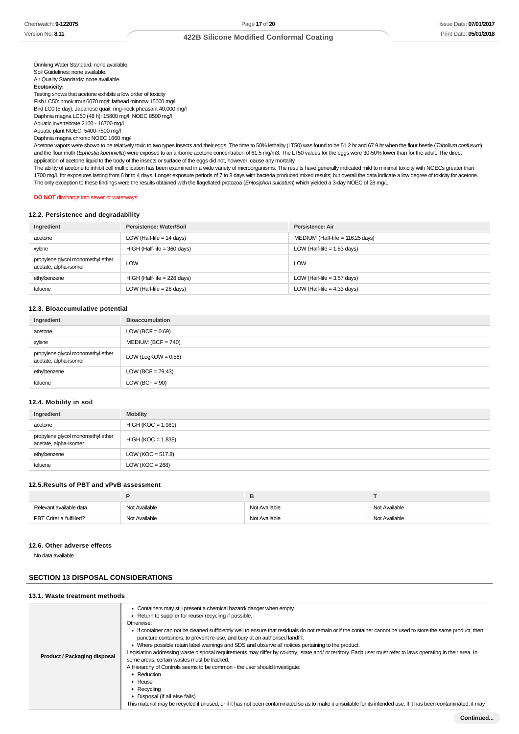# **422B Silicone Modified Conformal Coating**

Drinking Water Standard: none available. Soil Guidelines: none available. Air Quality Standards: none available. **Ecotoxicity:** Testing shows that acetone exhibits a low order of toxicity Fish LC50: brook trout 6070 mg/l; fathead minnow 15000 mg/l Bird LC0 (5 day): Japanese quail, ring-neck pheasant 40,000 mg/l Daphnia magna LC50 (48 h): 15800 mg/l; NOEC 8500 mg/l Aquatic invertebrate 2100 - 16700 mg/l Aquatic plant NOEC: 5400-7500 mg/l Daphnia magna chronic NOEC 1660 mg/l

Acetone vapors were shown to be relatively toxic to two types insects and their eggs. The time to 50% lethality (LT50) was found to be 51.2 hr and 67.9 hr when the flour beetle (Tribolium confusum) and the flour moth (Ephestia kuehniella) were exposed to an airborne acetone concentration of 61.5 mg/m3. The LT50 values for the eggs were 30-50% lower than for the adult. The direct application of acetone liquid to the body of the insects or surface of the eggs did not, however, cause any mortality.

The ability of acetone to inhibit cell multiplication has been examined in a wide variety of microorganisms. The results have generally indicated mild to minimal toxicity with NOECs greater than 1700 mg/L for exposures lasting from 6 hr to 4 days. Longer exposure periods of 7 to 8 days with bacteria produced mixed results; but overall the data indicate a low degree of toxicity for acetone. The only exception to these findings were the results obtained with the flagellated protozoa (Entosiphon sulcatum) which yielded a 3-day NOEC of 28 mg/L.

#### **DO NOT** discharge into sewer or waterways.

## **12.2. Persistence and degradability**

| Ingredient                                                 | Persistence: Water/Soil       | Persistence: Air                   |
|------------------------------------------------------------|-------------------------------|------------------------------------|
| acetone                                                    | LOW (Half-life $= 14$ days)   | MEDIUM (Half-life = $116.25$ days) |
| xylene                                                     | $HIGH$ (Half-life = 360 days) | LOW (Half-life $= 1.83$ days)      |
| propylene glycol monomethyl ether<br>acetate, alpha-isomer | LOW                           | <b>LOW</b>                         |
| ethylbenzene                                               | HIGH (Half-life = 228 days)   | LOW (Half-life $=$ 3.57 days)      |
| toluene                                                    | LOW (Half-life $= 28$ days)   | LOW (Half-life $=$ 4.33 days)      |

#### **12.3. Bioaccumulative potential**

| Ingredient                                                 | <b>Bioaccumulation</b> |
|------------------------------------------------------------|------------------------|
| acetone                                                    | LOW (BCF = $0.69$ )    |
| xylene                                                     | $MEDIUM (BCF = 740)$   |
| propylene glycol monomethyl ether<br>acetate, alpha-isomer | LOW (LogKOW = $0.56$ ) |
| ethylbenzene                                               | LOW (BCF = $79.43$ )   |
| toluene                                                    | $LOW (BCF = 90)$       |

#### **12.4. Mobility in soil**

| Ingredient                                                 | <b>Mobility</b>       |
|------------------------------------------------------------|-----------------------|
| acetone                                                    | $HIGH (KOC = 1.981)$  |
| propylene glycol monomethyl ether<br>acetate, alpha-isomer | $HIGH (KOC = 1.838)$  |
| ethylbenzene                                               | LOW ( $KOC = 517.8$ ) |
| toluene                                                    | LOW ( $KOC = 268$ )   |

### **12.5.Results of PBT and vPvB assessment**

| Relevant available data | Not Available | Not Available | Not Available |
|-------------------------|---------------|---------------|---------------|
| PBT Criteria fulfilled? | Not Available | Not Available | Not Available |

#### **12.6. Other adverse effects**

No data available

# **SECTION 13 DISPOSAL CONSIDERATIONS**

#### **13.1. Waste treatment methods**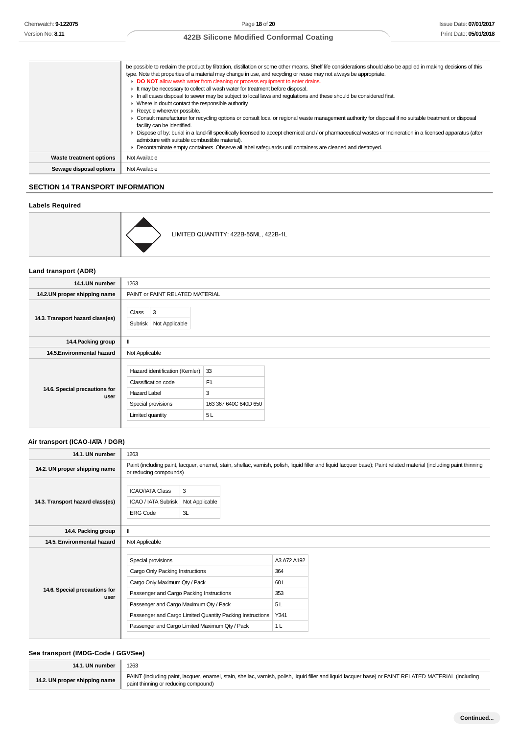|                         | be possible to reclaim the product by filtration, distillation or some other means. Shelf life considerations should also be applied in making decisions of this |
|-------------------------|------------------------------------------------------------------------------------------------------------------------------------------------------------------|
|                         | type. Note that properties of a material may change in use, and recycling or reuse may not always be appropriate.                                                |
|                         | DO NOT allow wash water from cleaning or process equipment to enter drains.                                                                                      |
|                         | It may be necessary to collect all wash water for treatment before disposal.                                                                                     |
|                         | In all cases disposal to sewer may be subject to local laws and regulations and these should be considered first.                                                |
|                         | $\triangleright$ Where in doubt contact the responsible authority.                                                                                               |
|                         | $\blacktriangleright$ Recycle wherever possible.                                                                                                                 |
|                         | • Consult manufacturer for recycling options or consult local or regional waste management authority for disposal if no suitable treatment or disposal           |
|                         | facility can be identified.                                                                                                                                      |
|                         | Dispose of by: burial in a land-fill specifically licensed to accept chemical and / or pharmaceutical wastes or Incineration in a licensed apparatus (after      |
|                         | admixture with suitable combustible material).                                                                                                                   |
|                         | • Decontaminate empty containers. Observe all label safeguards until containers are cleaned and destroyed.                                                       |
| Waste treatment options | Not Available                                                                                                                                                    |
| Sewage disposal options | Not Available                                                                                                                                                    |

# **SECTION 14 TRANSPORT INFORMATION**

# **Labels Required**



# **Land transport (ADR)**

| 14.1.UN number                        | 1263                                                                                                                   |                                                          |  |  |
|---------------------------------------|------------------------------------------------------------------------------------------------------------------------|----------------------------------------------------------|--|--|
| 14.2.UN proper shipping name          | PAINT or PAINT RELATED MATERIAL                                                                                        |                                                          |  |  |
| 14.3. Transport hazard class(es)      | 3<br>Class<br>Subrisk<br>Not Applicable                                                                                |                                                          |  |  |
| 14.4. Packing group                   | $\mathbf{II}$                                                                                                          |                                                          |  |  |
| 14.5. Environmental hazard            | Not Applicable                                                                                                         |                                                          |  |  |
| 14.6. Special precautions for<br>user | Hazard identification (Kemler)<br>Classification code<br><b>Hazard Label</b><br>Special provisions<br>Limited quantity | 33<br>F <sub>1</sub><br>3<br>163 367 640C 640D 650<br>5L |  |  |

# **Air transport (ICAO-IATA / DGR)**

| 14.1. UN number                       | 1263                                                                                                                                                                         |                                                                                                                                                                                              |                                                                  |  |
|---------------------------------------|------------------------------------------------------------------------------------------------------------------------------------------------------------------------------|----------------------------------------------------------------------------------------------------------------------------------------------------------------------------------------------|------------------------------------------------------------------|--|
| 14.2. UN proper shipping name         |                                                                                                                                                                              | Paint (including paint, lacquer, enamel, stain, shellac, varnish, polish, liquid filler and liquid lacquer base); Paint related material (including paint thinning<br>or reducing compounds) |                                                                  |  |
| 14.3. Transport hazard class(es)      | 3<br><b>ICAO/IATA Class</b><br>ICAO / IATA Subrisk<br>Not Applicable<br><b>ERG Code</b><br>3L                                                                                |                                                                                                                                                                                              |                                                                  |  |
| 14.4. Packing group                   | $\mathbf{I}$                                                                                                                                                                 |                                                                                                                                                                                              |                                                                  |  |
| 14.5. Environmental hazard            | Not Applicable                                                                                                                                                               |                                                                                                                                                                                              |                                                                  |  |
| 14.6. Special precautions for<br>user | Special provisions<br>Cargo Only Packing Instructions<br>Cargo Only Maximum Qty / Pack<br>Passenger and Cargo Packing Instructions<br>Passenger and Cargo Maximum Qty / Pack | Passenger and Cargo Limited Quantity Packing Instructions<br>Passenger and Cargo Limited Maximum Qty / Pack                                                                                  | A3 A72 A192<br>364<br>60L<br>353<br>5L<br>Y341<br>1 <sub>L</sub> |  |

# **Sea transport (IMDG-Code / GGVSee)**

| 14.1. UN number               | 1263                                                                                                                                                                                          |
|-------------------------------|-----------------------------------------------------------------------------------------------------------------------------------------------------------------------------------------------|
| 14.2. UN proper shipping name | PAINT (including paint, lacquer, enamel, stain, shellac, varnish, polish, liquid filler and liquid lacquer base) or PAINT RELATED MATERIAL (including<br>paint thinning or reducing compound) |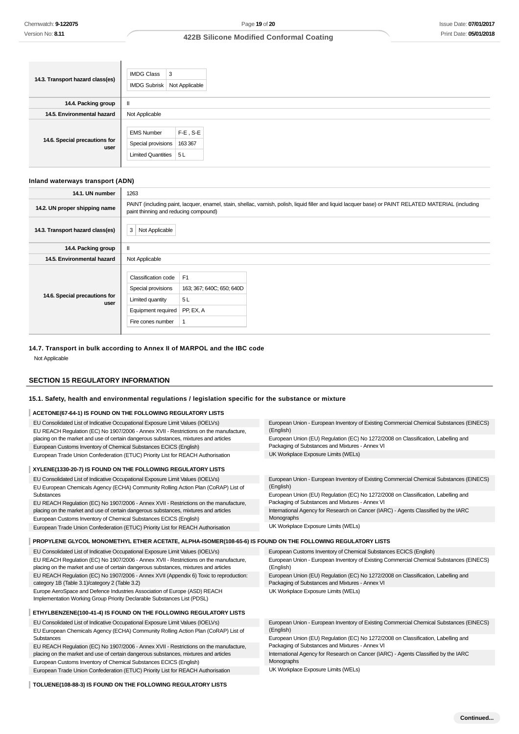| 14.3. Transport hazard class(es)      | <b>IMDG Class</b><br>3<br>Not Applicable<br><b>IMDG Subrisk</b>                               |  |  |
|---------------------------------------|-----------------------------------------------------------------------------------------------|--|--|
| 14.4. Packing group                   | $\mathbf{I}$                                                                                  |  |  |
| 14.5. Environmental hazard            | Not Applicable                                                                                |  |  |
| 14.6. Special precautions for<br>user | $F-E$ , S-E<br><b>EMS Number</b><br>Special provisions<br>163 367<br>5L<br>Limited Quantities |  |  |

### **Inland waterways transport (ADN)**

| 14.1. UN number                       | 1263                                                                                                                                                                                           |  |  |
|---------------------------------------|------------------------------------------------------------------------------------------------------------------------------------------------------------------------------------------------|--|--|
| 14.2. UN proper shipping name         | PAINT (including paint, lacquer, enamel, stain, shellac, varnish, polish, liquid filler and liquid lacquer base) or PAINT RELATED MATERIAL (including<br>paint thinning and reducing compound) |  |  |
| 14.3. Transport hazard class(es)      | 3<br>Not Applicable                                                                                                                                                                            |  |  |
| 14.4. Packing group                   | $\mathbf{I}$                                                                                                                                                                                   |  |  |
| 14.5. Environmental hazard            | Not Applicable                                                                                                                                                                                 |  |  |
| 14.6. Special precautions for<br>user | F1<br>Classification code<br>Special provisions<br>163; 367; 640C; 650; 640D<br>5L<br>Limited quantity<br>PP, EX, A<br>Equipment required<br>Fire cones number                                 |  |  |

# **14.7. Transport in bulk according to Annex II of MARPOL and the IBC code**

Not Applicable

# **SECTION 15 REGULATORY INFORMATION**

#### **15.1. Safety, health and environmental regulations / legislation specific for the substance or mixture**

#### **ACETONE(67-64-1) IS FOUND ON THE FOLLOWING REGULATORY LISTS**

| EU Consolidated List of Indicative Occupational Exposure Limit Values (IOELVs)                                                                                                | European Union - European Inventory of Existing Commercial Chemical Substances (EINECS)<br>(English) |
|-------------------------------------------------------------------------------------------------------------------------------------------------------------------------------|------------------------------------------------------------------------------------------------------|
| EU REACH Regulation (EC) No 1907/2006 - Annex XVII - Restrictions on the manufacture,<br>placing on the market and use of certain dangerous substances, mixtures and articles | European Union (EU) Regulation (EC) No 1272/2008 on Classification, Labelling and                    |
| European Customs Inventory of Chemical Substances ECICS (English)                                                                                                             | Packaging of Substances and Mixtures - Annex VI                                                      |
| European Trade Union Confederation (ETUC) Priority List for REACH Authorisation                                                                                               | UK Workplace Exposure Limits (WELs)                                                                  |
| XYLENE(1330-20-7) IS FOUND ON THE FOLLOWING REGULATORY LISTS                                                                                                                  |                                                                                                      |
| EU Consolidated List of Indicative Occupational Exposure Limit Values (IOELVs)                                                                                                | European Union - European Inventory of Existing Commercial Chemical Substances (EINECS)              |
| EU European Chemicals Agency (ECHA) Community Rolling Action Plan (CoRAP) List of                                                                                             | (English)                                                                                            |
| Substances                                                                                                                                                                    | European Union (EU) Regulation (EC) No 1272/2008 on Classification, Labelling and                    |
| EU REACH Regulation (EC) No 1907/2006 - Annex XVII - Restrictions on the manufacture,                                                                                         | Packaging of Substances and Mixtures - Annex VI                                                      |
| placing on the market and use of certain dangerous substances, mixtures and articles                                                                                          | International Agency for Research on Cancer (IARC) - Agents Classified by the IARC                   |
| European Customs Inventory of Chemical Substances ECICS (English)                                                                                                             | Monographs                                                                                           |
| European Trade Union Confederation (ETUC) Priority List for REACH Authorisation                                                                                               | UK Workplace Exposure Limits (WELs)                                                                  |
|                                                                                                                                                                               |                                                                                                      |
| PROPYLENE GLYCOL MONOMETHYL ETHER ACETATE, ALPHA-ISOMER(108-65-6) IS FOUND ON THE FOLLOWING REGULATORY LISTS                                                                  |                                                                                                      |
| EU Consolidated List of Indicative Occupational Exposure Limit Values (IOELVs)                                                                                                | European Customs Inventory of Chemical Substances ECICS (English)                                    |
| EU REACH Regulation (EC) No 1907/2006 - Annex XVII - Restrictions on the manufacture,<br>placing on the market and use of certain dangerous substances, mixtures and articles | European Union - European Inventory of Existing Commercial Chemical Substances (EINECS)<br>(English) |

placing on the market and use of certain dangerous substances, mixtures and articles EU REACH Regulation (EC) No 1907/2006 - Annex XVII (Appendix 6) Toxic to reproduction: category 1B (Table 3.1)/category 2 (Table 3.2)

Europe AeroSpace and Defence Industries Association of Europe (ASD) REACH Implementation Working Group Priority Declarable Substances List (PDSL)

#### **ETHYLBENZENE(100-41-4) IS FOUND ON THE FOLLOWING REGULATORY LISTS**

EU Consolidated List of Indicative Occupational Exposure Limit Values (IOELVs) EU European Chemicals Agency (ECHA) Community Rolling Action Plan (CoRAP) List of Substances

EU REACH Regulation (EC) No 1907/2006 - Annex XVII - Restrictions on the manufacture, placing on the market and use of certain dangerous substances, mixtures and articles European Customs Inventory of Chemical Substances ECICS (English) European Trade Union Confederation (ETUC) Priority List for REACH Authorisation

**TOLUENE(108-88-3) IS FOUND ON THE FOLLOWING REGULATORY LISTS**

European Union - European Inventory of Existing Commercial Chemical Substances (EINECS) (English)

European Union (EU) Regulation (EC) No 1272/2008 on Classification, Labelling and Packaging of Substances and Mixtures - Annex VI

European Union (EU) Regulation (EC) No 1272/2008 on Classification, Labelling and

International Agency for Research on Cancer (IARC) - Agents Classified by the IARC Monographs

UK Workplace Exposure Limits (WELs)

Packaging of Substances and Mixtures - Annex VI UK Workplace Exposure Limits (WELs)